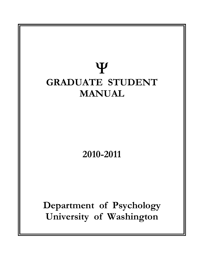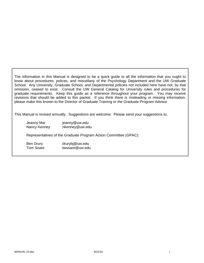The information in this Manual is designed to be a quick guide to all the information that you ought to know about procedures, polices, and miscellany of the Psychology Department and the UW Graduate School. Any University, Graduate School, and Departmental policies not included here have not, by that omission, ceased to exist. Consult the UW General Catalog for University rules and procedures for graduate requirements. Keep this guide as a reference throughout your program. You may receive revisions that should be added to this packet. If you think there is misleading or missing information, please make this known to the Director of Graduate Training or the Graduate Program Advisor.

This Manual is revised annually. Suggestions are welcome. Please send your suggestions to:

| Jeanny Mai   | jeanny@uw.edu  |
|--------------|----------------|
| Nancy Kenney | nkenney@uw.edu |

Representatives of the Graduate Program Action Committee (GPAC):

Ben Drury drurybj@uw.edu Tom Soare **twsoare@uw.edu**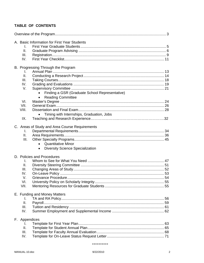# TABLE OF CONTENTS

|               | A. Basic Information for First Year Students   |  |
|---------------|------------------------------------------------|--|
| I.            |                                                |  |
| II.           |                                                |  |
| III.          |                                                |  |
| IV.           |                                                |  |
|               |                                                |  |
|               | B. Progressing Through the Program             |  |
| I.            |                                                |  |
| II.           |                                                |  |
| III.          |                                                |  |
| IV.           |                                                |  |
| V.            |                                                |  |
|               | Finding a GSR (Graduate School Representative) |  |
|               | <b>Reading Committee</b>                       |  |
| VI.           |                                                |  |
| VII.          |                                                |  |
| VIII.         |                                                |  |
|               | Timing with Internships, Graduation, Jobs      |  |
| IX.           |                                                |  |
|               |                                                |  |
|               | C. Areas of Study and Area Course Requirements |  |
| I.            |                                                |  |
| Ш.            |                                                |  |
| III.          |                                                |  |
|               | <b>Quantitative Minor</b><br>$\bullet$         |  |
|               | <b>Diversity Science Specialization</b>        |  |
|               | D. Policies and Procedures                     |  |
| I.            |                                                |  |
| ΙΙ.           |                                                |  |
| III.          |                                                |  |
| IV.           |                                                |  |
| V.            |                                                |  |
| VI.           |                                                |  |
| VII.          |                                                |  |
|               |                                                |  |
|               | E. Funding and Money Matters                   |  |
| I.            |                                                |  |
| ΙΙ.           |                                                |  |
| III.          |                                                |  |
| IV.           |                                                |  |
| F. Appendices |                                                |  |
| I.            |                                                |  |
| Ⅱ.            |                                                |  |
| III.          |                                                |  |
| IV.           |                                                |  |
|               |                                                |  |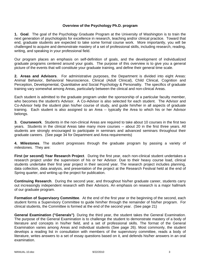## **Overview of the Psychology Ph.D. program**

**1. Goal**. The goal of the Psychology Graduate Program at the University of Washington is to train the next generation of psychologists for excellence in research, teaching and/or clinical practice. Toward that end, graduate students are expected to take some formal course work. More importantly, you will be challenged to acquire and demonstrate mastery of a set of professional skills, including research, reading, writing, and speaking in your professional field.

Our program places an emphasis on self-definition of goals, and the development of individualized graduate programs centered around your goals. The purpose of this overview is to give you a general picture of the events that will constitute your graduate training, and define their general time scale.

**2. Areas and Advisors**. For administrative purposes, the Department is divided into eight Areas: Animal Behavior, Behavioral Neuroscience, Clinical (Adult Clinical), Child Clinical, Cognition and Perception, Developmental, Quantitative and Social Psychology & Personality. The specifics of graduate training vary somewhat among Areas, particularly between the clinical and non-clinical Areas.

Each student is admitted to the graduate program under the sponsorship of a particular faculty member, who becomes the student's Advisor. A Co-Advisor is also selected for each student. The Advisor and Co-Advisor help the student plan his/her course of study, and guide him/her in all aspects of graduate training. Each student is also assigned to an Area -- typically the Area to which his or her Advisor belongs.

**3. Coursework**. Students in the non-clinical Areas are required to take about 10 courses in the first two years. Students in the clinical Areas take many more courses -- about 20 in the first three years. All students are strongly encouraged to participate in seminars and advanced seminars throughout their graduate careers. (See page 34 for Department and Area requirements)

**4. Milestones**. The student progresses through the graduate program by passing a variety of milestones. They are:

**First (or second) Year Research Project**. During the first year, each non-clinical student undertakes a research project under the supervision of his or her Advisor. Due to their heavy course load, clinical students undertake their first year project in their second year. The research project includes planning, data collection, data analysis, and presentation of the project at the Research Festival held at the end of Spring quarter, and writing up the project for publication.

**Continuing Research**. During the second year, and throughout his/her graduate career, students carry out increasingly independent research with their Advisors. An emphasis on research is a major hallmark of our graduate program.

**Formation of Supervisory Committee**. At the end of the first year or the beginning of the second, each student forms a Supervisory Committee to guide him/her through the remainder of his/her program. For clinical students, the Committee is formed at the end of the second year. (See page 21)

**General Examination ("Generals")**. During the third year, the student takes the General Examination. The purpose of the General Examination is to challenge the student to demonstrate mastery of a body of literature and concepts in his/her field, and a set of professional skills. The format of the General Examination varies among Areas and individual students (See page 26). Most commonly, the student develops a reading list in consultation with members of the supervisory committee, reads a body of literature, writes answers to a set of essay questions based on it, and defends his/her answers in an oral examination.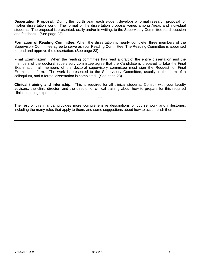**Dissertation Proposal.** During the fourth year, each student develops a formal research proposal for his/her dissertation work. The format of the dissertation proposal varies among Areas and individual students. The proposal is presented, orally and/or in writing, to the Supervisory Committee for discussion and feedback. (See page 28)

**Formation of Reading Committee**. When the dissertation is nearly complete, three members of the Supervisory Committee agree to serve as your Reading Committee. The Reading Committee is appointed to read and approve the dissertation. (See page 23)

**Final Examination.** When the reading committee has read a draft of the entire dissertation and the members of the doctoral supervisory committee agree that the Candidate is prepared to take the Final Examination, all members of the doctoral supervisory committee must sign the Request for Final Examination form. The work is presented to the Supervisory Committee, usually in the form of a colloquium, and a formal dissertation is completed. (See page 28)

**Clinical training and internship**. This is required for all clinical students. Consult with your faculty advisors, the clinic director, and the director of clinical training about how to prepare for this required clinical training experience.

---

The rest of this manual provides more comprehensive descriptions of course work and milestones, including the many rules that apply to them, and some suggestions about how to accomplish them.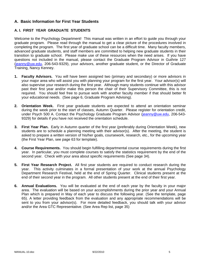## **A. Basic Information for First Year Students**

## **A. I. FIRST YEAR GRADUATE STUDENTS**

Welcome to the Psychology Department! This manual was written in an effort to guide you through your graduate program. Please read through the manual to get a clear picture of the procedures involved in completing the program. The first year of graduate school can be a difficult time. Many faculty members, advanced graduate students, and staff members are committed to helping new graduate students in their transition to graduate school. Please make use of these resources when the need arises. If you have questions not included in the manual, please contact the Graduate Program Advisor in Guthrie 127 (jeanny@uw.edu, 206-543-9329), your advisors, another graduate student, or the Director of Graduate Training, Nancy Kenney.

- **1. Faculty Advisors.** You will have been assigned two (primary and secondary) or more advisors in your major area who will assist you with planning your program for the first year. Your advisor(s) will also supervise your research during the first year. Although many students continue with this advisor past their first year and/or make this person the chair of their Supervisory Committee, this is not required. You should feel free to pursue work with another faculty member if that should better fit your educational needs. (See page 6, Graduate Program Advising).
- **2. Orientation Week.** First year graduate students are expected to attend an orientation seminar during the week prior to the start of classes, Autumn Quarter. Please register for orientation credit, under Psych 500 A. Contact the Psychology Graduate Program Advisor (jeanny@uw.edu, 206-543-9329) for details if you have not received the orientation schedule.
- **3. First Year Plan.** Early in Autumn quarter of the first year (preferably during Orientation Week), new students are to schedule a planning meeting with their advisor(s). After the meeting, the student is asked to prepare a written version of his/her goals, coursework, research, etc., for the upcoming year (the First Year Plan, see page 63 for template).
- **4. Course Requirements.** You should begin fulfilling departmental course requirements during the first year. In particular, you must complete courses to satisfy the statistics requirement by the end of the second year. Check with your area about specific requirements (See page 34).
- **5. First Year Research Project.** All first year students are required to conduct research during the year. This activity culminates in a formal presentation of your work at the annual Psychology Department Research Festival, held at the end of Spring Quarter. Clinical students present at the end of their second year in the program. All other students present at the end of their first year.
- **6. Annual Evaluations.** You will be evaluated at the end of each year by the faculty in your major area. The evaluation will be based on your accomplishments during the prior year and your Annual Plan which is prepared in May of each year to discuss the following year. (See the template, page 65). A letter providing feedback from the evaluation and any appropriate recommendations will be sent to you from your advisor(s). For more detailed feedback, you should talk with your advisor and/or the Area GTC Representative. (See Area Rep list, page 35)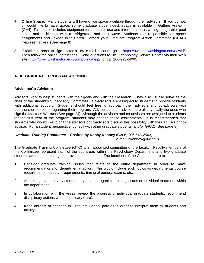- **7. Office Space.** Many students will have office space available through their advisors. If you do not, or would like to have space, some graduate student desk space is available in Guthrie Annex 4 (GA4). This space includes equipment for computer use and internet access, a ping-pong table, pool table, and a kitchen with a refrigerator and microwave. Students are responsible for space assignments and upkeep in this area. Contact your Graduate Program Action Committee (GPAC) Representatives (See page 8).
- **8. E-Mail.** In order to sign up for a UW e-mail account, go to https://uwnetid.washington.edu/newid/. Then follow the online instructions. Send questions to UW Technology Service Center via their Web site (http://www.washington.edu/computing/help/) or call 206-221-5000.

## **A. II. GRADUATE PROGRAM ADVISING**

## **Advisors/Co-Advisors**

Advisors work to help students with their goals and with their research. They also usually serve as the chair of the student's Supervisory Committee. Co-advisors are assigned to students to provide students with additional support. Students should feel free to approach their advisors and co-advisors with questions or concerns regarding their program. Advisors and co-advisors are also typically the ones who sign the Master's Warrant (See page 24). Although the advisors and co-advisors are assigned to students for the first year of the program, students may change these assignments. It is recommended that students who would like to change advisors or co-advisors discuss this possibility with their advisor or coadvisor. For a student perspective, consult with other graduate students, and/or GPAC (See page 8).

## *Graduate Training Committee –* **Chaired by Nancy Kenney** (G306, 206-543-2563,

e-mail: nkenney@uw.edu)

The Graduate Training Committee (GTC) is an appointed committee of the faculty. Faculty members of the Committee represent each of the sub-areas within the Psychology Department, and two graduate students attend the meetings to provide student input. The functions of the Committee are to:

- 1. Consider graduate training issues that relate to the entire department in order to make recommendations for departmental action. This would include such topics as departmental course requirements, research requirements, timing of general exams, etc.
- 2. Address grievances any student may have in regard to training issues or individual treatment within the department.
- 3. In collaboration with the Areas, review the progress of individual graduate students, recommend disciplinary actions when necessary (rare).
- 4. Keep abreast of changes in Graduate School policies in order to interpret them to students and faculty.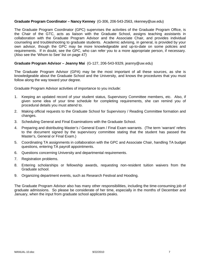## **Graduate Program Coordinator – Nancy Kenney** (G-306, 206-543-2563, nkenney@uw.edu)

The Graduate Program Coordinator (GPC) supervises the activities of the Graduate Program Office, is the Chair of the GTC, acts as liaison with the Graduate School, assigns teaching assistants in collaboration with the Graduate Program Advisor and the Associate Chair, and provides individual counseling and troubleshooting to graduate students. Academic advising, in general, is provided by your own advisor, though the GPC may be more knowledgeable and up-to-date on some policies and requirements. If in doubt, see the GPC, who can refer you to a more appropriate person, if necessary. (Also see the 'Whom to See' list on page 47)

#### **Graduate Program Advisor – Jeanny Mai** (G-127, 206-543-9329, jeanny@uw.edu)

The Graduate Program Advisor (GPA) may be the most important of all these sources, as she is knowledgeable about the Graduate School and the University, and knows the procedures that you must follow along the way toward your degree.

Graduate Program Advisor activities of importance to you include:

- 1. Keeping an updated record of your student status, Supervisory Committee members, etc. Also, if given some idea of your time schedule for completing requirements, she can remind you of procedural details you must attend to.
- 2. Making official requests to the Graduate School for Supervisory / Reading Committee formation and changes.
- 3. Scheduling General and Final Examinations with the Graduate School.
- 4. Preparing and distributing Master's / General Exam / Final Exam warrants. (The term 'warrant' refers to the document signed by the supervisory committee stating that the student has passed the Master's, General or Final Exam.)
- 5. Coordinating TA assignments in collaboration with the GPC and Associate Chair, handling TA budget questions, entering TA payroll appointments.
- 6. Questions concerning University and departmental requirements.
- 7. Registration problems.
- 8. Entering scholarships or fellowship awards, requesting non-resident tuition waivers from the Graduate school.
- 9. Organizing department events, such as Research Festival and Hooding.

The Graduate Program Advisor also has many other responsibilities, including the time-consuming job of graduate admissions. So please be considerate of her time, especially in the months of December and January, when the input from graduate school applicants peaks.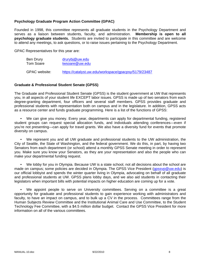## **Psychology Graduate Program Action Committee (GPAC)**

Founded in 1998, this committee represents all graduate students in the Psychology Department and serves as a liaison between students, faculty, and administration. **Membership is open to all psychology graduate students.** Students are invited to participate in this committee and are welcome to attend any meetings, to ask questions, or to raise issues pertaining to the Psychology Department.

GPAC Representatives for this year are:

| Ben Drury     | drurybj@uw.edu                                       |  |  |
|---------------|------------------------------------------------------|--|--|
| Tom Soare     | twsoare@uw.edu                                       |  |  |
| GPAC website: | https://catalyst.uw.edu/workspace/gpacpsy/5179/23487 |  |  |

#### **Graduate & Professional Student Senate (GPSS)**

The Graduate and Professional Student Senate (GPSS) is the student government at UW that represents you, in all aspects of your student life EXCEPT labor issues. GPSS is made up of two senators from each degree-granting department, four officers and several staff members. GPSS provides graduate and professional students with representation both on campus and in the legislature. In addition, GPSS acts as a resource center and funds graduate programming. Here is a list of the functions of GPSS:

 • We can give you money. Every year, departments can apply for departmental funding, registered student groups can request special allocation funds, and individuals attending conferences—even if you're not presenting—can apply for travel grants. We also have a diversity fund for events that promote diversity on campus.

 • We represent you and all UW graduate and professional students to the UW administration, the City of Seattle, the State of Washington, and the federal government. We do this, in part, by having two Senators from each department (or school) attend a monthly GPSS Senate meeting in order to represent you. Make sure you know your Senators, as they are your representation and also the people who can make your departmental funding request.

 • We lobby for you in Olympia. Because UW is a state school, not all decisions about the school are made on campus; some policies are decided in Olympia. The GPSS Vice President (gpssyp@uw.edu) is our official lobbyist and spends the winter quarter living in Olympia, advocating on behalf of all graduate and professional students at UW. GPSS plans lobby days, and we also aid students in contacting their legislators when important bills with potential impacts on higher education are coming up for a vote.

We appoint people to serve on University committees. Serving on a committee is a great opportunity for graduate and professional students to gain experience working with administrators and faculty, to have an impact on campus, and to bulk up a CV in the process. Committees range from the Human Subjects Review Committee and the Institutional Animal Care and Use Committee, to the Student Technology Fee Committee, with a \$4.5 million dollar budget. Contact the GPSS Vice President for more information on all of the various committees.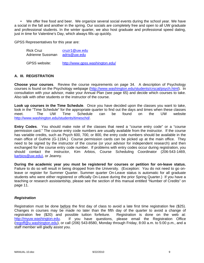• We offer free food and beer. We organize several social events during the school year. We have a social in the fall and another in the spring. Our socials are completely free and open to all UW graduate and professional students. In the winter quarter, we also host graduate and professional speed dating, just in time for Valentine's Day, which always fills up quickly.

GPSS Representatives for this year are:

| <b>Rick Cruz</b> | cruzr1@uw.edu                   |  |  |
|------------------|---------------------------------|--|--|
| Adrienne Sussman | adris@uw.edu                    |  |  |
| GPSS website:    | http://www.gpss.washington.edu/ |  |  |

## **A. III. REGISTRATION**

**Choose your courses**. Review the course requirements on page 34. A description of Psychology courses is found on the Psychology webpage (http://www.washington.edu/students/crscat/psych.html). In consultation with your advisor, make your Annual Plan (see page 65) and decide which courses to take. Also talk with other students or the instructor of the course.

**Look up courses in the Time Schedule**. Once you have decided upon the classes you want to take, look in the "Time Schedule" for the appropriate quarter to find out the days and times when these classes meet. The UW Time Schedule can be found on the UW website http://www.washington.edu/students/timeschd/.

**Entry Codes**. You should make note of the classes that need a "course entry code" or a "course permission card." The course entry code numbers are usually available from the instructor. If the course has variable credits, such as Psych 600, 700, or 800, the entry code numbers should be available in the main office of Guthrie (G-119A.) Course permission cards can be picked up at the main office. They need to be signed by the instructor of the course (or your advisor for independent research) and then exchanged for the course entry code number. If problems with entry codes occur during registration, you should contact the instructor, Kim Arbios, Course Scheduling Coordinator (206-543-1469, karbios@uw.edu), or Jeanny.

**During the academic year you must be registered for courses or petition for on-leave status.**  Failure to do so will result in being dropped from the University. (Exception: You do not need to go onleave or register for Summer Quarter. Summer quarter On-Leave status is automatic for all graduate students who were either registered or officially On-Leave during the prior Spring Quarter.) If you have a teaching or research assistantship, please see the section of this manual entitled "Number of Credits" on page 11.

#### *Registration*

Registration must be done before the first day of class to avoid a late first time registration fee (\$25). Changes in courses may be made no later than the fifth day of the quarter to avoid a change of registration fee (\$20) and possible tuition forfeiture. Registration is done on the web at: http://myuw.washington.edu. If you have questions, please email the Registration Office (regoff@u.washington.edu), or call (206) 543-8580, Monday through Friday, 8:00 a.m. to 5:00 p.m., and a staff member will gladly assist you.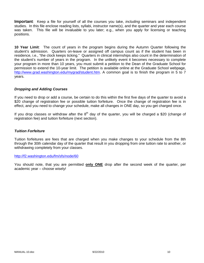**Important**: Keep a file for yourself of all the courses you take, *including* seminars and independent studies. In this file enclose reading lists, syllabi, instructor name(s), and the quarter and year each course was taken. This file will be invaluable to you later; e.g., when you apply for licensing or teaching positions.

**10 Year Limit**: The count of years in the program begins during the Autumn Quarter following the student's admission. Quarters on-leave or assigned off campus count as if the student has been in residence, i.e., "the clock keeps ticking." Quarters in clinical internships also count in the determination of the student's number of years in the program. In the unlikely event it becomes necessary to complete your program in more than 10 years, you must submit a petition to the Dean of the Graduate School for permission to extend the 10-year limit. The petition is available online at the Graduate School webpage, http://www.grad.washington.edu/mygrad/student.htm. A common goal is to finish the program in 5 to 7 years.

## *Dropping and Adding Courses*

If you need to drop or add a course, be certain to do this within the first five days of the quarter to avoid a \$20 change of registration fee or possible tuition forfeiture. Once the change of registration fee is in effect, and you need to change your schedule, make all changes in ONE day, so you get charged once.

If you drop classes or withdraw after the  $8<sup>th</sup>$  day of the quarter, you will be charged a \$20 (change of registration fee) and tuition forfeiture (next section).

#### *Tuition Forfeiture*

Tuition forfeitures are fees that are charged when you make changes to your schedule from the 8th through the 30th calendar day of the quarter that result in you dropping from one tuition rate to another, or withdrawing completely from your classes.

#### http://f2.washington.edu/fm/sfs/node/60

You should note, that you are permitted **only ONE** drop after the second week of the quarter, per academic year – choose wisely!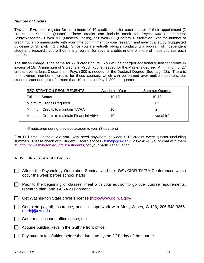#### *Number of Credits*

TAs and RAs must register for a minimum of 10 credit hours for each quarter of their appointment (2 credits for Summer Quarter). These credits can include credit for Psych 600 (Independent Study/Research), Psych 700 (Master's Thesis), or Psych 800 (Doctoral Dissertation) with the number of credit hours commensurate with your time commitment to your research and individual study (suggested guideline of 3hrs/wk = 1 credit). Since you are virtually always conducting a program of independent study and research, you will generally register for several credits in one or more of these courses each quarter.

The tuition charge is the same for 7-18 credit hours. You will be charged additional tuition for credits in excess of 18. A minimum of 9 credits in Psych 700 is needed for the Master's degree. A minimum of 27 credits over at least 3 quarters in Psych 800 is needed for the Doctoral Degree (See page 28). There is no maximum number of credits for these courses, which can be earned over multiple quarters, but students cannot register for more than 10 credits of Psych 800 per quarter.

| <b>REGISTRATION REQUIREMENTS</b>            | Academic Year | <b>Summer Quarter</b> |
|---------------------------------------------|---------------|-----------------------|
| <b>Full time Status</b>                     | $10 - 18$     | $10 - 18$             |
| <b>Minimum Credits Required</b>             | 2             | $0^*$                 |
| Minimum Credits to maintain TA/RA           | 10            |                       |
| Minimum Credits to maintain Financial Aid** | 10            | variable <sup>+</sup> |

\*If registered during previous academic year (3 quarters)

+ For Full time Financial Aid you likely need anywhere between 5-10 credits every quarter (including summer). Please check with Student Fiscal Services (sfshelp@uw.edu, 206-543-4694, or chat with them at: http://f2.washington.edu/fm/sfs/students) for your particular situation.

## **A. IV. FIRST YEAR CHECKLIST**

- Attend the Psychology Orientation Seminar and the UW's CIDR TA/RA Conferences which occur the week before school starts
- $\Box$  Prior to the beginning of classes, meet with your advisor to go over course requirements, research plan, and TA/RA assignment
- $\Box$  Get Washington State driver's license (http://www.dol.wa.gov/)
- $\Box$  Complete payroll, insurance, and tax paperwork with Merly Jones, G-126, 206-543-3366, merlej@uw.edu
- $\Box$  Get e-mail account, office space, etc
- Acquire building keys in the Guthrie front office
- Pay student fees/tuition before the due date by the  $3<sup>rd</sup>$  Friday of the quarter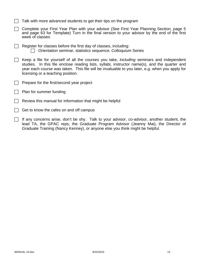| $\Box$ Talk with more advanced students to get their tips on the program |  |  |  |
|--------------------------------------------------------------------------|--|--|--|
|                                                                          |  |  |  |

- ◯ Complete your First Year Plan with your advisor (See First Year Planning Section, page 5 and page 63 for Template) Turn in the final version to your advisor by the end of the first week of classes
- $\Box$  Register for classes before the first day of classes, including:  $\Box$  Orientation seminar, statistics sequence, Colloquium Series
- $\Box$  Keep a file for yourself of all the courses you take, *including* seminars and independent studies. In this file enclose reading lists, syllabi, instructor name(s), and the quarter and year each course was taken. This file will be invaluable to you later, e.g. when you apply for licensing or a teaching position.
- Prepare for the first/second year project
- $\Box$  Plan for summer funding
- Review this manual for information that might be helpful
- $\Box$  Get to know the cafes on and off campus
- $\Box$  If any concerns arise, don't be shy. Talk to your advisor, co-advisor, another student, the lead TA, the GPAC reps, the Graduate Program Advisor (Jeanny Mai), the Director of Graduate Training (Nancy Kenney), or anyone else you think might be helpful.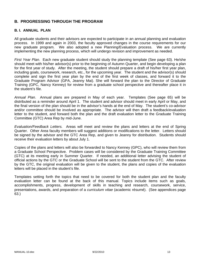## **B. PROGRESSING THROUGH THE PROGRAM**

## **B. I. ANNUAL PLAN**

All graduate students and their advisors are expected to participate in an annual planning and evaluation process. In 1999 and again in 2003, the faculty approved changes in the course requirements for our new graduate program. We also adopted a new Planning/Evaluation process. We are currently implementing the new planning process, which will undergo revision and improvement as needed.

*First Year Plan*. Each new graduate student should study the planning template (See page 63). He/she should meet with his/her advisor(s) prior to the beginning of Autumn Quarter, and begin developing a plan for the first year of study. After the meeting, the student should prepare a draft of his/her first year plan, including goals, coursework, research, etc., for the upcoming year. The student and the advisor(s) should complete and sign the first year plan by the end of the first week of classes, and forward it to the Graduate Program Advisor (GPA, Jeanny Mai). She will forward the plan to the Director of Graduate Training (GPC, Nancy Kenney) for review from a graduate school perspective and thereafter place it in the student's file.

*Annual Plan*. Annual plans are prepared in May of each year. Templates (See page 65) will be distributed as a reminder around April 1. The student and advisor should meet in early April or May, and the final version of the plan should be in the advisor's hands at the end of May. The student's co-advisor and/or committee should be involved as appropriate. The advisor will then draft a feedback/evaluation letter to the student, and forward both the plan and the draft evaluation letter to the Graduate Training Committee (GTC) Area Rep by mid-June.

*Evaluation/Feedback Letters.* Areas will meet and review the plans and letters at the end of Spring Quarter. Other Area faculty members will suggest additions or modifications to the letter. Letters should be signed by the advisor and the GTC Area Rep, and given to Jeanny for distribution. Students should receive their evaluation letters by about July 1.

Copies of the plans and letters will also be forwarded to Nancy Kenney (GPC), who will review them from a Graduate School Perspective. Problem cases will be considered by the Graduate Training Committee (GTC) at its meeting early in Summer Quarter. If needed, an additional letter advising the student of official actions by the GTC or the Graduate School will be sent to the student from the GTC. After review by the GTC, the original evaluation will be given to the student, the plans and copies of the evaluation letters will be placed in the student's file.

Templates setting forth the topics that need to be covered for both the student plan and the faculty evaluation letter can be found at the back of this manual. Topics include items such as goals, accomplishments, progress, development of skills in teaching and research, coursework, service, presentations, awards, and preparation of a *curriculum vitae* (academic résumé). (See appendices page 63.)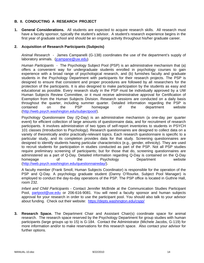## **B. II. CONDUCTING A RESEARCH PROJECT**

**1. General Considerations.** All students are expected to acquire research skills. All research must have a faculty sponsor, typically the student's advisor. A student's research experience begins in the first year of graduate school and should be an ongoing activity throughout his/her graduate career.

#### **2. Acquisition of Research Participants (Subjects)**

*Animal Research* - James Campanelli (G-138) coordinates the use of the department's supply of laboratory animals. (*icampane@uw.edu*)

*Human Participants -* The Psychology Subject Pool (PSP) is an administrative mechanism that (a) offers a convenient way for undergraduate students enrolled in psychology courses to gain experience with a broad range of psychological research, and (b) furnishes faculty and graduate students in the Psychology Department with participants for their research projects. The PSP is designed to ensure that consistent and proper procedures are followed by all researchers for the protection of the participants. It is also designed to make participation by the students as easy and educational as possible. Every research study in the PSP must be individually approved by a UW Human Subjects Review Committee, or it must receive administrative approval for Certification of Exemption from the Human Subjects Division. Research sessions are conducted on a daily basis throughout the quarter, including summer quarter. Detailed information regarding the PSP is contained on the PSP homepage of the department website (http://web.psych.washington.edu/subjectpool/).

Psychology Questionnaire Day (Q-Day) is an administrative mechanism (a one-day per quarter event) for efficient collection of large amounts of questionnaire data, and for recruitment of research participants. It involves administration of two types of self-report inventories to students in PSYCH 101 classes (Introduction to Psychology). Research questionnaires are designed to collect data on a variety of theoretically and/or practically-relevant topics. Each research questionnaire is specific to a particular study, and its completion provides data for that study. Screening questionnaires are designed to identify students having particular characteristics (e.g., gender, ethnicity). They are used to recruit students for participation in studies conducted as part of the PSP. Not all PSP studies require preliminary screening of participants; but for those that do, screening questionnaires are administered as a part of Q-Day. Detailed information regarding Q-Day is contained on the Q-Day homepage of the Psychology Department website (http://web.psych.washington.edu/questionnaireday/).

A faculty member (Frank Smoll, Human Subjects Coordinator) is responsible for the operation of the PSP and Q-Day. A psychology graduate student (Danny O'Rourke, Subject Pool Manager) is employed to conduct the day-to-day operations of the PSP. The PSP office is located in Guthrie Hall, room 232.

*Infant and Child Participants* - Contact Jennifer McBride at the Communication Studies Participant Pool, partpool@uw.edu or 206-616-9081. You will need a faculty sponsor and human subjects approval for your research in order to use the participant pool. You should also talk to your advisor about funding. Check out their website: https://depts.washington.edu/cspp/

**3. Research Space.** The Department Chair and Assistant Chair(s) coordinate space for animal research. The research space reserved by the Psychology Department for group studies with human participants (large groups up to 15) is G-184. Contact the Administrator (Michele Jacobs, G-119) for more information and/or to make reservations for this research space. Also contact your advisor for further options.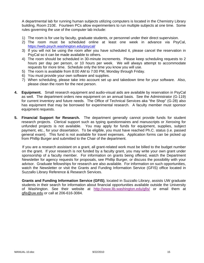A departmental lab for running human subjects utilizing computers is located in the Chemistry Library building, Room 210E. Fourteen PCs allow experimenters to run multiple subjects at one time. Some rules governing the use of the computer lab include:

- 1) The room is for use by faculty, graduate students, or personnel under their direct supervision.
- 2) The room must be scheduled online at least one week in advance via PsyCal, https://web.psych.washington.edu/psycal/
- 3) If you will not be using the room after you have scheduled it, please cancel the reservation in PsyCal so it can be made available to others.
- 4) The room should be scheduled in 30-minute increments. Please keep scheduling requests to 2 hours per day per person, or 10 hours per week. We will always attempt to accommodate requests for more time. Schedule only the time you know you will use.
- 5) The room is available from 8:00 AM to 7:00 PM, Monday through Friday.
- 6) You must provide your own software and supplies.
- 7) When scheduling, please take into account set up and takedown time for your software. Also, please clean the room for the next person.
- **4. Equipment.** Small research equipment and audio-visual aids are available by reservation in PsyCal as well. The department orders new equipment on an annual basis. See the Administrator (G-119) for current inventory and future needs. The Office of Technical Services aka "the Shop" (G-28) also has equipment that may be borrowed for experimental research. A faculty member must sponsor equipment requests.
- **5. Financial Support for Research.** The department generally cannot provide funds for student research projects. Clerical support such as typing questionnaires and manuscripts or Xeroxing for unfunded projects is not available. You may apply for funds for equipment, supplies, subject payment, etc., for your dissertation. To be eligible, you must have reached Ph.C. status (i.e. passed general exam). This fund is not available for travel expenses. Application forms can be picked up from Phillip Burger and submitted to the Chair of the department.

If you are a research assistant on a grant, all grant-related work must be billed to the budget number on the grant. If your research is not funded by a faculty grant, you may write your own grant under sponsorship of a faculty member. For information on grants being offered, watch the Department Newsletter for agency requests for proposals, see Phillip Burger, or discuss the possibility with your advisor. Graduate fellowships for research are also available. For information on such opportunities, watch the Newsletter or visit the Grants and Funding Information Service (GFIS) office located in Suzzallo Library Reference & Research Services.

**Grants and Funding Information Service (GFIS)**, located in Suzzallo Library, assists UW graduate students in their search for information about financial opportunities available outside the University of Washington. See their website at http://www.lib.washington.edu/gfis/ or email them at gfis@uw.edu or call at 206-616-3084.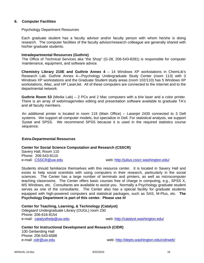#### **6. Computer Facilities**

#### Psychology Department Resources

Each graduate student has a faculty advisor and/or faculty person with whom he/she is doing research. The computer facilities of the faculty advisor/research colleague are generally shared with his/her graduate students.

#### **Intradepartmental Resources (Guthrie)**

The Office of Technical Services aka "the Shop" (G-28, 206-543-8281) is responsible for computer maintenance, equipment, and software advice.

**Chemistry Library 210E and Guthrie Annex 4** – 14 Windows XP workstations in ChemLib's Research Lab. Guthrie Annex 4—Psychology Undergraduate Study Center (room 113) with 3 Windows XP workstations and the Graduate Student study areas (room 102/110) has 5 Windows XP workstations, iMac, and HP LaserJet. All of these computers are connected to the Internet and to the departmental network.

**Guthrie Room 53** (Media Lab) – 2 PCs and 2 Mac computers with a b/w laser and a color printer. There is an array of web/image/video editing and presentation software available to graduate TA's and all faculty members.

An additional printer is located in room 119 (Main Office) – Laserjet 2430 connected to 3 Dell systems. We support all computer models, but specialize in Dell. For statistical analysis, we support Systat and SPSS. We recommend SPSS because it is used in the required statistics course sequence.

#### **Extra-Departmental Resources**

#### **Center for Social Science Computation and Research (CSSCR)**

Savery Hall, Room 110 Phone: 206-543-8110

e-mail: CSSCR@uw.edu example web: http://julius.csscr.washington.edu/

Students should familiarize themselves with this resource center. It is located in Savery Hall and exists to help social scientists with using computers in their research, particularly in the social sciences. The Center has a large number of terminals and printers, as well as microcomputer teaching classrooms. The Center offers basic courses free of charge in computing, e.g., SPSS X, MS Windows, etc. Consultants are available to assist you. Normally a Psychology graduate student serves as one of the consultants. The Center also has a special facility for graduate students equipped with high-powered computers and statistical packages, such as SAS, M-Plus, etc. **The Psychology Department is part of this center. Please use it!**

**Center for Teaching, Learning, & Technology (Catalyst)**  Odegaard Undergraduate Library (OUGL) room 230 Phone: 206-616-8154 e-mail: catalysthelp@uw.edu web: http://catalyst.washington.edu/

**Center for Instructional Development and Research (CIDR)**  100 Gerberding Hall

Phone: 206-543-6588

e-mail: cidr@uw.edu web: http://depts.washington.edu/cidrweb/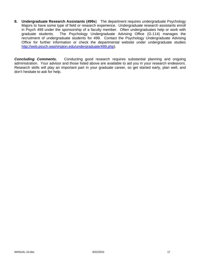**8. Undergraduate Research Assistants (499s**) The department requires undergraduate Psychology Majors to have some type of field or research experience. Undergraduate research assistants enroll in Psych 499 under the sponsorship of a faculty member. Often undergraduates help or work with graduate students. The Psychology Undergraduate Advising Office (G-114) manages the recruitment of undergraduate students for 499. Contact the Psychology Undergraduate Advising Office for further information or check the departmental website under undergraduate studies http://web.psych.washington.edu/undergraduate/499.php).

**Concluding Comments.** Conducting good research requires substantial planning and ongoing administration. Your advisor and those listed above are available to aid you in your research endeavors. Research skills will play an important part in your graduate career, so get started early, plan well, and don't hesitate to ask for help.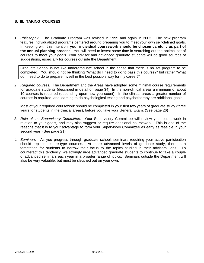## **B. III. TAKING COURSES**

1. *Philosophy.* The Graduate Program was revised in 1999 and again in 2003. The new program features individualized programs centered around preparing you to meet your own self-defined goals. In keeping with this intention, **your individual coursework should be chosen carefully as part of the annual planning process**. You will need to invest some time in searching out the optimal set of courses to meet your goals. Your advisor and advanced graduate students will be good sources of suggestions, especially for courses outside the Department.

Graduate School is not like undergraduate school in the sense that there is no set program to be completed. You should not be thinking "What do I need to do to pass this course?" but rather "What do I need to do to prepare myself in the best possible way for my career?"

2. *Required courses.* The Department and the Areas have adopted some minimal course requirements for graduate students (described in detail on page 34) In the non-clinical areas a minimum of about 10 courses is required (depending upon how you count). In the clinical areas a greater number of courses is required, and learning to do psychological testing and psychotherapy are additional goals.

Most of your required coursework should be completed in your first two years of graduate study (three years for students in the clinical areas), before you take your General Exam. (See page 26)

- *3. Role of the Supervisory Committee.* Your Supervisory Committee will review your coursework in relation to your goals, and may also suggest or require additional coursework. This is one of the reasons that it is to your advantage to form your Supervisory Committee as early as feasible in your second year. (See page 21)
- *4. Seminars.* As you progress through graduate school, seminars requiring your active participation should replace lecture-type courses. At more advanced levels of graduate study, there is a temptation for students to narrow their focus to the topics studied in their advisors' labs. To counteract this tendency, we strongly urge advanced graduate students to continue to take a couple of advanced seminars each year in a broader range of topics. Seminars outside the Department will also be very valuable, but must be sleuthed out on your own.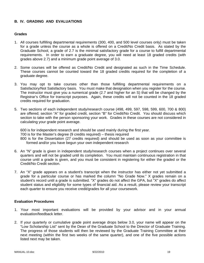## **B. IV. GRADING AND EVALUATIONS**

#### **Grades**

- 1. All courses fulfilling departmental requirements (300, 400, and 500 level courses only) must be taken for a grade unless the course as a whole is offered on a Credit/No Credit basis. As stated by the Graduate School, a grade of 2.7 is the minimal satisfactory grade for a course to fulfill departmental requirements. In order to earn a graduate degree, you will need at least 18 graded credits (with grades above 2.7) and a minimum grade point average of 3.0.
- 2. Some courses will be offered as Credit/No Credit and designated as such in the Time Schedule. These courses cannot be counted toward the 18 graded credits required for the completion of a graduate degree.
- 3. You may opt to take courses other than those fulfilling departmental requirements on a Satisfactory/Not Satisfactory basis. You must make that designation when you register for the course. The instructor must give you a numerical grade (2.7 and higher for an S) that will be changed by the Registrar's Office for transcript purposes. Again, these credits will not be counted in the 18 graded credits required for graduation.
- 5. Two sections of each independent study/research course (498, 499, 597, 598, 599, 600, 700 & 800) are offered; section "A" for graded credit, section "B" for Credit/No Credit. You should discuss which section to take with the person sponsoring your work. Grades in these courses are not considered in calculating your grade point average.

600 is for independent research and should be used mainly during the first year. 700 is for the Master's degree (9 credits required) – thesis required 800 is for the Dissertation (27 credits required) and should be used as soon as your committee is formed and/or you have begun your own independent research

- 6. An "N" grade is given in independent study/research courses when a project continues over several quarters and will not be graded until its completion. You must maintain continuous registration in that course until a grade is given, and you must be consistent in registering for either the graded or the Credit/No Credit section.
- 7. An "X" grade appears on a student's transcript when the instructor has either not yet submitted a grade for a particular course or has marked the column "No Grade Now." X grades remain on a student's record until a grade is submitted. "X" grades do not affect the GPA, but "X" grades do affect student status and eligibility for some types of financial aid. As a result, please review your transcript each quarter to ensure you receive credit/grades for all your coursework.

#### **Evaluation Procedures**

- 1. Your most important evaluations will be provided by your advisor and in your annual evaluation/feedback letter.
- 2. If your quarterly or cumulative grade point average drops below 3.0, your name will appear on the "Low Scholarship List" sent by the Dean of the Graduate School to the Director of Graduate Training. The progress of those students will then be reviewed by the Graduate Training Committee at their next meeting (within the first two weeks of the same quarter), and one of the five possible actions listed next may be taken.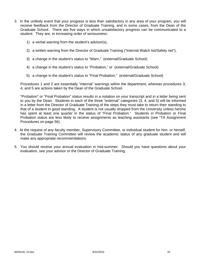- 3. In the unlikely event that your progress is less than satisfactory in any area of your program, you will receive feedback from the Director of Graduate Training, and in some cases, from the Dean of the Graduate School. There are five ways in which unsatisfactory progress can be communicated to a student. They are, in increasing order of seriousness:
	- 1) a verbal warning from the student's advisor(s),
	- 2) a written warning from the Director of Graduate Training ("Internal Watch list/Safety net"),
	- 3) a change in the student's status to "Warn," (external/Graduate School)
	- 4) a change in the student's status to "Probation," or (external/Graduate School)
	- 5) a change in the student's status to "Final Probation." (external/Graduate School)

Procedures 1 and 2 are essentially "internal" warnings within the department, whereas procedures 3, 4, and 5 are actions taken by the Dean of the Graduate School.

"Probation" or "Final Probation" status results in a notation on your transcript and in a letter being sent to you by the Dean. Students in each of the three "external" categories (3, 4, and 5) will be informed in a letter from the Director of Graduate Training of the steps they must take to return their standing to that of a student in good standing. A student is not usually dropped from the University unless he/she has spent at least one quarter in the status of "Final Probation." Students in Probation or Final Probation status are less likely to receive assignments as teaching assistants (see "TA Assignment Procedures on page 56).

- 4. At the request of any faculty member, Supervisory Committee, or individual student for him- or herself, the Graduate Training Committee will review the academic status of any graduate student and will make any appropriate recommendations.
- 5. You should receive your annual evaluation in mid-summer. Should you have questions about your evaluation, see your advisor or the Director of Graduate Training.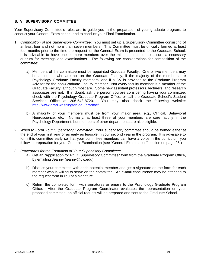## **B. V. SUPERVISORY COMMITTEE**

Your Supervisory Committee's roles are to guide you in the preparation of your graduate program, to conduct your General Examination, and to conduct your Final Examination.

- 1. *Composition of the Supervisory Committee*: You must set up a Supervisory Committee consisting of at least four and not more than seven members. This Committee must be officially formed at least four months prior to the time the request for the General Exam is presented to the Graduate School. It is advisable to have one or more members over the minimum number to assure a necessary quorum for meetings and examinations. The following are considerations for composition of the committee:
	- a) Members of the committee must be appointed Graduate Faculty. One or two members may be appointed who are not on the Graduate Faculty, if the majority of the members are Psychology Graduate Faculty members, and if a CV is provided to the Graduate Program Advisor for the non-Graduate Faculty member. Not every faculty member is a member of the Graduate Faculty, although most are. Some new assistant professors, lecturers, and research associates are not. If in doubt, ask the person you are considering having your committee, check with the Psychology Graduate Program Office, or call the Graduate School's Student Services Office at 206-543-8720. You may also check the following website: http://www.grad.washington.edu/gradfac/
	- b) A majority of your members must be from your major area, e.g., Clinical, Behavioral Neuroscience, etc. Normally, at least three of your members are core faculty in the Psychology Department, but members of other departments are also eligible.
- 2. *When to Form Your Supervisory Committee*: Your supervisory committee should be formed either at the end of your first year or as early as feasible in your second year in the program. It is advisable to form this committee early so that your committee members can have a voice in the curriculum you follow in preparation for your General Examination (see "General Examination" section on page 26.)
- 3. *Procedures for the Formation of Your Supervisory Committee*:
	- a) Get an "Application for Ph.D. Supervisory Committee" form from the Graduate Program Office, by emailing Jeanny (jeanny@uw.edu).
	- b) Discuss your committee with each potential member and get a signature on the form for each member who is willing to serve on the committee. An e-mail concurrence may be attached to the request form in lieu of a signature.
	- c) Return the completed form with signatures or emails to the Psychology Graduate Program Office. After the Graduate Program Coordinator evaluates the representation on your proposed committee, an official request will be prepared and sent to the Graduate School.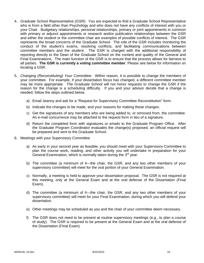- 4. *Graduate School Representative (GSR)*: You are expected to find a Graduate School Representative who is from a field other than Psychology and who does not have any conflicts of interest with you or your Chair. Budgetary relationships, personal relationships, primary or joint appointments in common with primary or adjunct appointments or research and/or publication relationships between the GSR and either the student or the committee chair are examples of possible conflicts of interest. The GSR represents the broad concerns of the Graduate School. The role of the GSR includes monitoring the conduct of the student's exams, resolving conflicts, and facilitating communications between committee members and the student. The GSR is charged with the additional responsibility of reporting directly to the Dean of the Graduate School on the content and quality of the General and Final Examinations. The main function of the GSR is to ensure that the process allows for fairness to all parties. **The GSR is currently a voting committee member**. Please see below for information on locating a GSR.
- 5. *Changing (Reconstituting) Your Committee*: Within reason, it is possible to change the members of your committee. For example, if your dissertation focus has changed, a different committee member may be more appropriate. The Graduate School will not honor requests to change the GSR if the reason for the change is a scheduling difficulty. If you and your advisor decide that a change is needed, follow the steps outlined below.
	- a) Email Jeanny and ask for a "Request for Supervisory Committee Reconstitution" form.
	- b) Indicate the changes to be made, and your reasons for making these changes.
	- c) Get the signatures of any members who are being added to, or removed from, the committee. An e-mail concurrence may be attached to the request form in lieu of a signature.
	- d) Return the completed form with signatures or emails to the Graduate Program Office. After the Graduate Program Coordinator evaluates the change(s) proposed, an official request will be prepared and sent to the Graduate School.
- 6. Meetings with your Supervisory Committee
	- a) As early in your second year as feasible, you should meet with your Supervisory Committee to plan the course work, reading, and other activity you will undertake in preparation for your General Examination, which is normally taken during the  $3<sup>rd</sup>$  year.
	- b) The committee (a minimum of 4—the chair, the GSR, and any two other members of your supervisory committee) will meet for the oral portion of your General Examination.
	- c) Normally, a meeting is held to approve your dissertation proposal. The GSR is not required at this meeting, only at the General Exam and at the oral defense of the Dissertation (Final Exam).
	- d) The committee (a minimum of 4—the chair, the GSR, and any two other members of your supervisory committee) will meet for your Final Examination, during which you will defend your dissertation.
	- e) Other meetings may be scheduled as you and the chair of your committee deem necessary.
	- f) The GSR does not need to be present at routine supervisory meetings (e.g., to plan a course of study). The GSR is required to be present at the General Exam and at the oral defense of the Dissertation (Final Exam).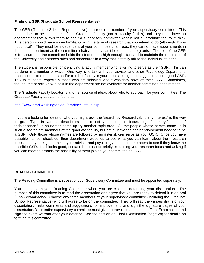## **Finding a GSR (Graduate School Representative)**

The GSR (Graduate School Representative) is a required member of your supervisory committee. This person has to be a member of the Graduate Faculty (not all faculty fit this) and they must have an endorsement that allows them to chair a supervisory committee (again not all graduate faculty fit this). This person should have some familiarity with the type of research that you intend to do (although this is not critical). They must be independent of your committee chair, e.g., they cannot have appointments in the same department as the committee chair and they can't be on the same grants. The role of the GSR is to assure that the committee holds the student to a high enough standard to maintain the reputation of the University and enforces rules and procedures in a way that is totally fair to the individual student.

The student is responsible for identifying a faculty member who is willing to serve as their GSR. This can be done in a number of ways. One way is to talk with your advisor and other Psychology Departmentbased committee members and/or to other faculty in your area seeking their suggestions for a good GSR. Talk to students, especially those who are finishing, about who they have as their GSR. Sometimes, though, the people known best in the department are not available for another committee appointment.

The Graduate Faculty Locator is another source of ideas about who to approach for your committee. The Graduate Faculty Locator is found at:

http://www.grad.washington.edu/gradfac/Default.asp

If you are looking for ideas of who you might ask, the "search by Research/Scholarly Interest" is the way to go. Type in various descriptors that reflect your research focus, e.g., "memory," nutrition," "adolescence." If no names come up try another topic area. All the people whose names come up in such a search are members of the graduate faculty, but not all have the chair endorsement needed to be a GSR. Only those whose names are followed by an asterisk can serve as your GSR. Once you have possible names, check out their department websites to see what you can learn about their research focus. If they look good, talk to your advisor and psychology committee members to see if they know the possible GSR. If all looks good, contact the prospect briefly explaining your research focus and asking if you can meet to discuss the possibility of them joining your committee as GSR.

#### **READING COMMITTEE**

The Reading Committee is a subset of your Supervisory Committee and must be appointed separately.

You should form your Reading Committee when you are close to defending your dissertation. The purpose of this committee is to read the dissertation and agree that you are ready to defend it in an oral (Final) examination. Choose any three members of your supervisory committee (including the Graduate School Representative) who will agree to be on the committee. They will read the various drafts of your dissertation, make comments and suggestions for improvement, and sign the signature pages of your dissertation. Your entire supervisory committee must give approval to schedule the Final Examination and sign the exam warrant after your defense. See the section on Final Examination (page 28) for details on forming this committee.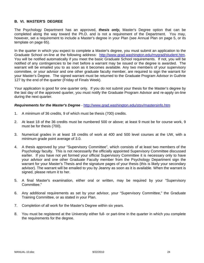### **B. VI. MASTER'S DEGREE**

The Psychology Department has an approved, *thesis only,* Master's Degree option that can be completed along the way toward the Ph.D. and is not a requirement of the Department. You may, however, set a requirement to include a Master's degree in your Plan (see Annual Plan on page 5, or its template on page 65).

In the quarter in which you expect to complete a Master's degree, you must submit an application to the Graduate School on-line at the following address: http://www.grad.washington.edu/mygrad/student.htm. You will be notified automatically if you meet the basic Graduate School requirements. If not, you will be notified of any contingencies to be met before a warrant may be issued or the degree is awarded. The warrant will be emailed you to as soon as it becomes available. Any two members of your supervisory committee, or your advisor and one other graduate faculty member, are required to sign the warrant for your Master's Degree. The signed warrant must be returned to the Graduate Program Advisor in Guthrie 127 by the end of the quarter (Friday of Finals Week).

Your application is good for one quarter only. If you do not submit your thesis for the Master's degree by the last day of the approved quarter, you must notify the Graduate Program Advisor and re-apply on-line during the next quarter.

*Requirements for the Master's Degree* - http://www.grad.washington.edu/stsv/mastersinfo.htm

- 1. A minimum of 36 credits, 9 of which must be thesis (700) credits.
- 2. At least 18 of the 36 credits must be numbered 500 or above; at least 9 must be for course work, 9 must be for thesis (700).
- 3. Numerical grades in at least 18 credits of work at 400 and 500 level courses at the UW, with a minimum grade point average of 3.0.
- 4. A thesis approved by your "Supervisory Committee", which consists of at least two members of the Psychology faculty. This is not necessarily the officially appointed Supervisory Committee discussed earlier. If you have not yet formed your official Supervisory Committee it is necessary only to have your advisor and one other Graduate Faculty member from the Psychology Department sign the warrant for your Master's Thesis and the signature pages of your thesis (this is likely your secondary advisor). The warrant will be emailed to you by Jeanny as soon as it is available. When the warrant is signed, please return it to her.
- 5. A final Master's examination, either oral or written, may be required by your "Supervisory Committee."
- 6. Any additional requirements as set by your advisor, your "Supervisory Committee," the Graduate Training Committee, or as stated in your Plan.
- 7. Completion of all work for the Master's Degree within six years.
- 8. You must be registered at the University either full- or part-time in the quarter in which you complete the requirements for the degree.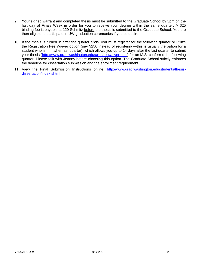- 9. Your signed warrant and completed thesis must be submitted to the Graduate School by 5pm on the last day of Finals Week in order for you to receive your degree within the same quarter. A \$25 binding fee is payable at 129 Schmitz before the thesis is submitted to the Graduate School. You are then eligible to participate in UW graduation ceremonies if you so desire.
- 10. If the thesis is turned in after the quarter ends, you must register for the following quarter or utilize the Registration Fee Waiver option (pay \$250 instead of registering—this is usually the option for a student who is in his/her last quarter), which allows you up to 14 days after the last quarter to submit your thesis (http://www.grad.washington.edu/area/regwaiver.html) for an M.S. conferred the following quarter. Please talk with Jeanny before choosing this option. The Graduate School strictly enforces the deadline for dissertation submission and the enrollment requirement.
- 11. View the Final Submission Instructions online: http://www.grad.washington.edu/students/thesisdissertation/index.shtml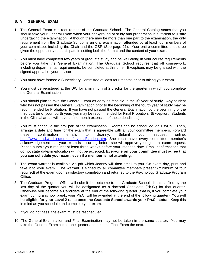### **B. VII. GENERAL EXAM**

- 1. The General Exam is a requirement of the Graduate School. The General Catalog states that you should take your General Exam when your background of study and preparation is sufficient to justify undertaking the examination. Although there may be more than one part to the examination, the only requirement from the Graduate School is an oral examination attended by at least four members of your committee, including the Chair and the GSR (See page 21). Your entire committee should be given the opportunity to participate in setting both the format and the content of your exam.
- 2. You must have completed two years of graduate study and be well along in your course requirements before you take the General Examination. The Graduate School requires that all coursework, including departmental requirements, be completed at this time. Exceptions may be granted with the signed approval of your advisor.
- 3. You must have formed a Supervisory Committee at least four months prior to taking your exam.
- 4. You must be registered at the UW for a minimum of 2 credits for the quarter in which you complete the General Examination.
- 5. You should plan to take the General Exam as early as feasible in the  $3<sup>rd</sup>$  year of study. Any student who has not passed the General Examination prior to the beginning of the fourth year of study may be recommended for Probation. If you have not passed the General Examination by the beginning of the third quarter of your fourth year, you may be recommended for Final Probation. (Exception: Students in the Clinical areas will have a nine-month extension of these deadlines.)
- 6. You must schedule the oral part of the examination. Rooms can be scheduled via PsyCal. Then, arrange a date and time for the exam that is agreeable with all your committee members. Forward these confirmation emails to Jeanny. Submit your request online: http://www.grad.washington.edu/mygrad/student.htm. She must have every committee member's acknowledgement that your exam is occurring before she will approve your general exam request. Please submit your request at least three weeks before your intended date. Email confirmations that do not state date/time/location will not be accepted. **Everyone on your committee must agree that you can schedule your exam, even if a member is not attending.**
- 7. The exam warrant is available via pdf which Jeanny will then email to you. On exam day, print and take it to your exam. The warrant is signed by all committee members present (minimum of four required) at the exam upon satisfactory completion and returned to the Psychology Graduate Program Office.
- 8. The Graduate Program Office will submit the outcome to the Graduate School. If this is filed by the last day of the quarter you will be designated as a doctoral Candidate (Ph.C.) for that quarter. Otherwise you become a Candidate at the end of the following quarter (that is, if you complete your exam during a school break, your Ph.C. will be awarded at the end of the following quarter). **You will be eligible for your Level 2 raise once the Graduate School awards your Ph.C. status.** Keep this in mind as you schedule and complete your exam.
- 9. If you do not pass, the exam must be rescheduled.
- 10. The General Examination and Final Examination may not be taken in the same quarter. You may take the General Examination one quarter and take the Final Exam the next.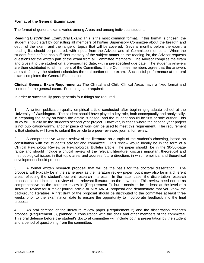## **Format of the General Examination**

The format of general exams varies among Areas and among individual students.

**Reading List/Written Exam/Oral Exam**: This is the most common format. If this format is chosen, the student should start by consulting all members of his/her Supervisory Committee about the breadth and depth of the exam, and the range of topics that will be covered. Several months before the exam, a reading list should be prepared, with inputs from the Advisor and all Committee members. When the student feels he/she has sufficient mastery of the subject matter on the reading list, the Advisor requests questions for the written part of the exam from all Committee members. The Advisor compiles the exam and gives it to the student on a pre-specified date, with a pre-specified due date. The student's answers are then distributed to all members of the Committee. If the Committee members agree that the answers are satisfactory, the student schedules the oral portion of the exam. Successful performance at the oral exam completes the General Examination.

**Clinical General Exam Requirements:** The Clinical and Child Clinical Areas have a fixed format and content for the general exam. Four things are required:

In order to successfully pass generals four things are required:

1. A written publication-quality empirical article conducted after beginning graduate school at the University of Washington. The student should have played a key role, both conceptually and analytically, in preparing the study on which the article is based, and the student should be first or sole author. This study will usually be the student's second year project. However, in cases where the second year project is not publication-worthy, another piece of work can be used to meet this requirement. The requirement is that students will have to submit the article to a peer-reviewed journal for review.

2. A comprehensive written review of the literature on a topic of the student's choosing, based on consultation with the student's advisor and committee. This review would ideally be in the form of a Clinical Psychology Review or Psychological Bulletin article. The paper should be in the 30-50-page range and should include a critical review of the relevant literature, discuss important theoretical and methodological issues in that topic area, and address future directions in which empirical and theoretical development should proceed.

3. A formal written research proposal that will be the basis for the doctoral dissertation. The proposal will typically be in the same area as the literature review paper, but it may also be in a different area, reflecting the student's current research interests. In the latter case, the dissertation research proposal should include a review of the relevant literature on the new topic. This review need not be as comprehensive as the literature review in (Requirement 2), but it needs to be at least at the level of a literature review for a major journal article or NRSA/NSF proposal and demonstrate that you know the background literature. A first draft of the proposal should be distributed to the committee at least three weeks prior to the examination date to ensure the opportunity to incorporate feedback into the final proposal.

4. An oral defense of the literature review paper (Requirement 2) and the dissertation research proposal (Requirement 3), planned in consultation with the chair and other members of the committee. This oral defense before the student's doctoral committee will include both a presentation by the student and a period of questioning from the committee.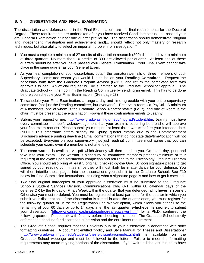## **B. VIII. DISSERTATION AND FINAL EXAMINATION**

The dissertation and defense of it, in the Final Examination, are the final requirements for the Doctoral Degree. These requirements are undertaken after you have received Candidate status, i.e., passed your oral General Examination at least one quarter previously. The dissertation should demonstrate "original and independent investigation and achievement [and]... should reflect not only mastery of research techniques, but also ability to select an important problem for investigation."

- 1. You must complete a minimum of 27 credits of dissertation research (800) distributed over a minimum of three quarters. No more than 10 credits of 800 are allowed per quarter. At least one of these quarters should be after you have passed your General Examination. Your Final Exam cannot take place in the same quarter as your General Exam.
- 2. As you near completion of your dissertation, obtain the signatures/emails of three members of your Supervisory Committee whom you would like to be on your **Reading Committee**. Request the necessary form from the Graduate Program Advisor (G-127) and return the completed form with approvals to her. An official request will be submitted to the Graduate School for approval. The Graduate School will then confirm the Reading Committee by sending an email. This has to be done before you schedule your Final Examination. (See page 23)
- 3. To schedule your Final Examination, arrange a day and time agreeable with your entire supervisory committee (not just the Reading committee, but everyone). Reserve a room via PsyCal. A minimum of 4 members, one of whom is the Graduate School Representative (GSR), and one of whom is the chair, must be present at the examination. Forward these confirmation emails to Jeanny.
- 4. Submit your request online: http://www.grad.washington.edu/mygrad/student.htm. Jeanny must have every committee member's acknowledgement that your exam is occurring before she will approve your final exam request. Please submit your request at least three weeks before your intended date. (NOTE: This timeframe differs slightly for Spring quarter exams due to the Commencement Brochure's advance printing deadline.) Email confirmations that do not state date/time/location will not be accepted. Everyone on your supervisory (not just reading) committee must agree that you can schedule your exam, even if a member is not attending.
- 5. The exam warrant is available via pdf which Jeanny will then email to you. On exam day, print and take it to your exam. The warrant is signed by all committee members present (minimum of four required) at the exam upon satisfactory completion and returned to the Psychology Graduate Program Office. You should also bring at least 3 original (checked-by-the Grad School) signature pages to get signed by your reading committee since they will most likely be in attendance for your defense. You will then interfile these pages into the dissertations you submit to the Graduate School. See #10 below for Final Submission instructions, including what a signature page is and how to get it checked.
- 6. Two final original hardcopies of your approved dissertation must be submitted to the Graduate School's Student Services Division, Communications Bldg G-1, within 60 calendar days of the defense OR by the Friday of Finals Week within the quarter that you defended, **whichever is sooner**. Otherwise you must re-defend. You must be registered at least part-time for the quarter in which you submit your dissertation. If the dissertation is turned in after the quarter ends, you must register for the following quarter or utilize the Registration Fee Waiver option, which allows you either use the remaining of your 60 days or up to 14 days after the last quarter, **whichever is sooner**, to submit your dissertation (http://www.grad.washington.edu/area/regwaiver.html) for a Ph.D. conferred the following quarter. Please talk with Jeanny before choosing this option. The Graduate School strictly enforces the deadline for dissertation submission and the enrollment requirement.
- 8. The Graduate School requires that the University publish your dissertation in adherence with strict formatting guidelines. A document entitled "Policy and Style Manual for Theses and Dissertations" (http://www.grad.washington.edu/students/thesis-dissertation/index.shtml) is available on the Graduate School webpage and must be followed to the letter. Failure to meet the formatting requirements may mean retyping portions of the dissertation. If you wait until the last minute to have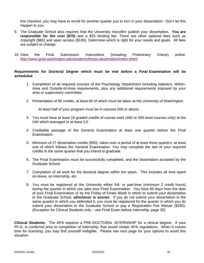this checked, you may have to enroll for another quarter just to turn in your dissertation! Don't let this happen to you.

- 9. The Graduate School also requires that the University microfilm publish your dissertation. **You are responsible for the cost (\$70)** and a \$25 binding fee. There are other optional fees such as copyright (\$65) and open access (\$100). Determine which is right for your needs and goals. All fees are subject to change.
- 10. View the Final Submission Instructions (including Preliminary Check) online: http://www.grad.washington.edu/students/thesis-dissertation/index.shtml

## **Requirements for Doctoral Degree which must be met before a Final Examination will be scheduled**

- 1. Completion of all required courses of the Psychology Department including statistics, Within-Area and Outside-of-Area requirements, plus any additional requirements imposed by your area or supervisory committee.
- 2. Presentation of 90 credits, at least 60 of which must be taken at the University of Washington.

At least half of your program must be in courses 500 or above.

- 3. You must have at least 18 graded credits of course work (400 or 500 level courses only) at the UW which averaged to at least 3.0
- 4. Creditable passage of the General Examination at least one quarter before the Final Examination.
- 5. Minimum of 27 dissertation credits (800), taken over a period of at least three quarters, at least one of which follows the General Examination. You may complete the last of your required credits in the same quarter that you intend to graduate.
- 6. The Final Examination must be successfully completed, and the dissertation accepted by the Graduate School.
- 7. Completion of all work for the doctoral degree within ten years. This includes all time spent on-leave, on internship, etc.
- 8. You must be registered at the University either full- or part-time (minimum 2 credit hours) during the quarter in which you take your Final Examination. You have 60 days from the date of your Final Examination or by the Friday of Finals Week in which to submit your dissertation to the Graduate School, **whichever is sooner**. If you do not submit your dissertation in the same quarter in which you defended it, you must be registered for the quarter in which you do submit your dissertation to the Graduate School or pay a Registration Fee Waiver (\$250). (Exception for Clinical Students only – see Final Exam before Internship, page 30)

**Clinical Students:** The APA requires a PRE-DOCTORAL INTERNSHIP for a clinical degree. If your Ph.D. is conferred *prior* to completion of internship, that would violate APA regulations. When it comes time for licensing, you may find yourself ineligible. Please see next page for your options to avoid this situation.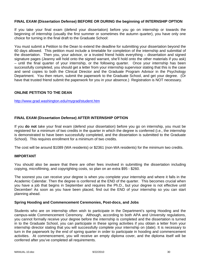## **FINAL EXAM (Dissertation Defense) BEFORE OR DURING the beginning of INTERNSHIP OPTION**

If you take your final exam (defend your dissertation) before you go on internship or towards the beginning of internship (usually the first summer or sometimes the autumn quarter), you have only one choice for turning in the final draft to the Graduate School:

You must submit a Petition to the Dean to extend the deadline for submitting your dissertation beyond the 60 days allowed. This petition must include a timetable for completion of the internship and submittal of the dissertation. Then you, your advisor, or a trusted friend holds everything – dissertation and signed signature pages (Jeanny will hold onto the signed warrant, she'll hold onto the other materials if you ask) – until the final quarter of your internship, or the following quarter. Once your internship has been successfully completed, you should get a letter from your internship supervisor stating that this is the case and send copies to both the Clinical Director and the Graduate Program Advisor in the Psychology Department. You then return, submit the paperwork to the Graduate School, and get your degree. (Or have that trusted friend submit the paperwork for you in your absence.) Registration is NOT necessary.

## **ONLINE PETITION TO THE DEAN**

http://www.grad.washington.edu/mygrad/student.htm

## **FINAL EXAM (Dissertation Defense) AFTER INTERNSHIP OPTION**

If you **do not** take your final exam (defend your dissertation) before you go on internship, you must be registered for a minimum of two credits in the quarter in which the degree is conferred (i.e., the internship is demonstrated to have been successfully completed, and the dissertation is submitted to the Graduate School). This requires enrollment for a minimum of two credits.

The cost will be around \$1089 (WA residents) or \$2361 (non-WA residents) for the minimum two credits.

#### **IMPORTANT**

You should also be aware that there are other fees involved in submitting the dissertation including copying, microfilming, and copyrighting costs, so plan on an extra \$95 - \$260.

The soonest you can receive your degree is when you complete your internship and where it falls in the Academic Calendar. Then the degree is conferred at the END of the quarter. This becomes crucial when you have a job that begins in September and requires the Ph.D., but your degree is not effective until December! As soon as you have been placed, find out the END of your internship so you can start planning ahead.

#### **Spring Hooding and Commencement Ceremonies, Post-docs, and Jobs**

Students who are on internship often wish to participate in the Department's spring Hooding and the campus-wide Commencement Ceremony. Although, according to both APA and University regulations, you cannot formally receive your degree before the internship is completed and the dissertation is turned in to the Graduate School, you can participate in these spring activities if you obtain a letter from your internship director stating that you will successfully complete your internship on (date). It is necessary to turn in the paperwork by the end of spring quarter in order to participate in hooding and commencement activities. At commencement, you will receive an empty diploma cover, and the diploma itself will be conferred after you've completed all requirements.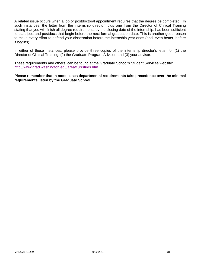A related issue occurs when a job or postdoctoral appointment requires that the degree be completed. In such instances, the letter from the internship director, plus one from the Director of Clinical Training stating that you will finish all degree requirements by the closing date of the internship, has been sufficient to start jobs and postdocs that begin before the next formal graduation date. This is another good reason to make every effort to defend your dissertation before the internship year ends (and, even better, before it begins).

In either of these instances, please provide three copies of the internship director's letter for (1) the Director of Clinical Training, (2) the Graduate Program Advisor, and (3) your advisor.

These requirements and others, can be found at the Graduate School's Student Services website: http://www.grad.washington.edu/area/currstuds.htm

**Please remember that in most cases departmental requirements take precedence over the minimal requirements listed by the Graduate School.**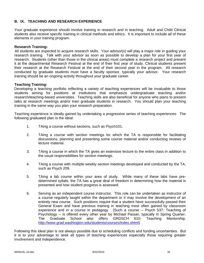## **B. IX. TEACHING AND RESEARCH EXPERIENCE**

Your graduate experience should involve training in research and in teaching. Adult and Child Clinical students also receive specific training in clinical methods and ethics. It is important to include all of these elements in your training program.

#### **Research Training:**

All students are expected to acquire research skills. Your advisor(s) will play a major role in guiding your research training. Talk with your advisor as soon as possible to develop a plan for your first year of research. Students (other than those in the clinical areas) must complete a research project and present it at the departmental Research Festival at the end of their first year of study. Clinical students present their research at the Research Festival at the end of their second year in the program. All research conducted by graduate students must have a faculty sponsor, typically your advisor. Your research training should be an ongoing activity throughout your graduate career.

## **Teaching Training:**

Developing a teaching portfolio reflecting a variety of teaching experiences will be invaluable to those students aiming for positions at institutions that emphasize undergraduate teaching and/or research/teaching-based universities. Teaching skills are also beneficial for anyone who plans to present talks at research meetings and/or train graduate students in research. You should plan your teaching training in the same way you plan your research preparation.

Teaching experience is ideally gained by undertaking a progressive series of teaching experiences. The following graduated plan is the ideal:

- 1. TAing a course without sections, such as Psych101.
- 2. TAing a course with section meetings for which the TA is responsible for facilitating discussions, planning and presenting some course material and/or conducting reviews of lecture material.
- 3. TAing a course in which the TA gives an extensive lecture to the entire class in addition to the usual responsibilities for section meetings.
- 4. TAing a course with multiple weekly section meetings developed and conducted by the TA, such as Psych 209.
- 5. TAing a lab course within your area of study. While many of these labs have predetermined syllabi, the TA has a great deal of freedom in determining how the material is presented and how student progress is assessed.
- 6. Serving as an independent course instructor. This role can be undertaken as instructor of a course regularly taught within the department or it may involve the development of an entirely new course. Such positions require that a student have successfully passed their General Exam and have previous training in teaching most often gained by classroom experience and in a course in pedagogy. (Such a course -- Psych 537: Teaching of Psychology -- is offered every other year by Michael Passer, typically in Spring Quarter. The Graduate School also offers GRDSCH 610: Teaching Mentorship, http://www.grad.washington.edu/students/courses/index.shtml)

Following this ideal plan is not always possible due to scheduling conflicts and funding uncertainties. But it is to your advantage to seek all types of teaching experiences especially those requiring greater involvement and independence.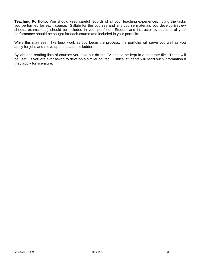**Teaching Portfolio:** You should keep careful records of all your teaching experiences noting the tasks you performed for each course. Syllabi for the courses and any course materials you develop (review sheets, exams, etc.) should be included in your portfolio. Student and instructor evaluations of your performance should be sought for each course and included in your portfolio.

While this may seem like busy work as you begin the process, the portfolio will serve you well as you apply for jobs and move up the academic ladder.

Syllabi and reading lists of courses you take but do not TA should be kept in a separate file. These will be useful if you are ever asked to develop a similar course. Clinical students will need such information if they apply for licensure.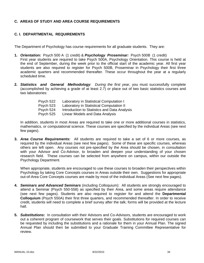## **C. AREAS OF STUDY AND AREA COURSE REQUIREMENTS**

## **C. I. DEPARTMENTAL REQUIREMENTS**

The Department of Psychology has course requirements for all graduate students. They are:

- **1.** *Orientation:* Psych 500 A (1 credit) & *Psychology Proseminar:* Psych 500B (1 credit) First year students are required to take Psych 500A, Psychology Orientation. This course is held at the end of September, during the week prior to the official start of the academic year. All first year students are also required to register for Psych 500B, Proseminar in Psychology their first three academic quarters and recommended thereafter. These occur throughout the year at a regularly scheduled time.
- **2.** *Statistics and General Methodology: During the first year*, you must successfully complete (accomplished by achieving a grade of at least 2.7) or place out of two basic statistics courses and two laboratories:

| Psych 522 | Laboratory in Statistical Computation I      |
|-----------|----------------------------------------------|
| Psych 523 | Laboratory in Statistical Computation II     |
| Psych 524 | Introduction to Statistics and Data Analysis |
| Psych 525 | Linear Models and Data Analysis              |
|           |                                              |

In addition, students in most Areas are required to take one or more additional courses in statistics, mathematics, or computational science. These courses are specified by the individual Areas (see next few pages).

**3.** *Area Course Requirements:* All students are required to take a set of 6 or more courses, as required by the individual Areas (see next few pages). Some of these are specific courses, whereas others are left open. Any courses not pre-specified by the Area should be chosen, in consultation with your Advisor and Co-Advisor, to broaden and deepen your understanding of your chosen research field. These courses can be selected from anywhere on campus, within our outside the Psychology Department.

When appropriate, students are encouraged to use these courses to broaden their perspectives within Psychology by taking Core Concepts courses in Areas outside their own. Suggestions for appropriate out-of-Area Core Concepts courses are made by most of the individual Areas (See next few pages).

- **4.** *Seminars and Advanced Seminars* (including Colloquium): All students are strongly encouraged to attend a Seminar (Psych 550-558) as specified by their Area, and some areas require attendance (see next few pages). Students are also required to register for and attend the **Departmental Colloquium** (Psych 550A) their first three quarters, and recommended thereafter. In order to receive credit, students will need to complete a brief survey after the talk; forms will be provided at the lecture hall.
- **5.** *Substitutions***:** In consultation with their Advisors and Co-Advisors, students are encouraged to work out a coherent program of coursework that serves their goals. Substitutions for required courses can be requested by including the substitutions and a rationale for them in your Annual Plan. The signed Annual Plan should then be submitted to your Graduate Training Committee Representative for review.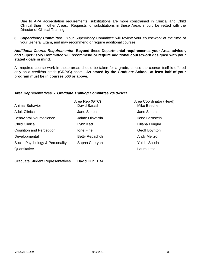Due to APA accreditation requirements, substitutions are more constrained in Clinical and Child Clinical than in other Areas. Requests for substitutions in these Areas should be vetted with the Director of Clinical Training.

**6.** *Supervisory Committee.* Your Supervisory Committee will review your coursework at the time of your General Exam, and may recommend or require additional courses.

## *Additional Course Requirements***: Beyond these Departmental requirements, your Area, advisor, and Supervisory Committee will recommend or require additional coursework designed with your stated goals in mind.**

All required course work in these areas should be taken for a grade, unless the course itself is offered only on a credit/no credit (CR/NC) basis. **As stated by the Graduate School, at least half of your program must be in courses 500 or above.**

## *Area Representatives - Graduate Training Committee 2010-2011*

| <b>Animal Behavior</b>          | Area Rep (GTC)<br>David Barash | <b>Area Coordinator (Head)</b><br>Mike Beecher |
|---------------------------------|--------------------------------|------------------------------------------------|
| <b>Adult Clinical</b>           | Jane Simoni                    | Jane Simoni                                    |
| <b>Behavioral Neuroscience</b>  | Jaime Olavarria                | Ilene Bernstein                                |
| <b>Child Clinical</b>           | Lynn Katz                      | Liliana Lengua                                 |
| <b>Cognition and Perception</b> | Ione Fine                      | Geoff Boynton                                  |
| Developmental                   | Betty Repacholi                | <b>Andy Meltzoff</b>                           |
| Social Psychology & Personality | Sapna Cheryan                  | Yuichi Shoda                                   |
| Quantitative                    |                                | Laura Little                                   |
|                                 |                                |                                                |

Graduate Student Representatives David Huh, TBA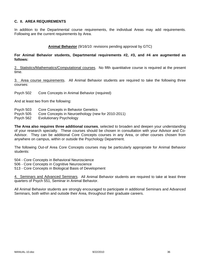### **C. II. AREA REQUIREMENTS**

In addition to the Departmental course requirements, the individual Areas may add requirements. Following are the current requirements by Area.

### **Animal Behavior** (9/16/10: revisions pending approval by GTC)

### **For Animal Behavior students, Departmental requirements #2, #3, and #4 are augmented as follows:**

2. Statistics/Mathematics/Computational courses. No fifth quantitative course is required at the present time.

3. Area course requirements. All Animal Behavior students are required to take the following three courses:

Psych 502 Core Concepts in Animal Behavior (required)

And at least two from the following:

- Psych 503 Core Concepts in Behavior Genetics
- Psych 505 Core Concepts in Neuroethology (new for 2010-2011)
- Psych 562 Evolutionary Psychology

**The Area also requires three additional courses**, selected to broaden and deepen your understanding of your research specialty. These courses should be chosen in consultation with your Advisor and Co-Advisor. They can be additional Core Concepts courses in any Area, or other courses chosen from anywhere on campus, within or outside the Psychology Department.

The following Out-of Area Core Concepts courses may be particularly appropriate for Animal Behavior students:

504 - Core Concepts in Behavioral Neuroscience

- 506 Core Concepts in Cognitive Neuroscience
- 513 Core Concepts in Biological Basis of Development

4. Seminars and Advanced Seminars. All Animal Behavior students are required to take at least three quarters of Psych 551, Seminar in Animal Behavior.

All Animal Behavior students are strongly encouraged to participate in additional Seminars and Advanced Seminars, both within and outside their Area, throughout their graduate careers.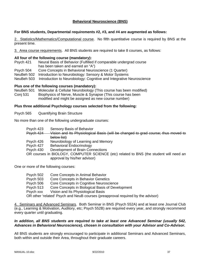### **Behavioral Neuroscience (BNS)**

#### **For BNS students, Departmental requirements #2, #3, and #4 are augmented as follows:**

2. Statistics/Mathematics/Computational course. No fifth quantitative course is required by BNS at the present time.

3. Area course requirements. All BNS students are required to take 8 courses, as follows:

#### **All four of the following course (mandatory):**

- Psych 421 Neural Basis of Behavior (Fulfilled if comparable undergrad course has been taken and earned an "A")
- Psych 504 Core Concepts in Behavioral Neuroscience (1 Quarter)
- NeuBeh 502 Introduction to Neurobiology: Sensory & Motor Systems
- NeuBeh 503 Introduction to Neurobiology: Cognitive and Integrative Neuroscience

#### **Plus one of the following courses (mandatory):**

NeuBeh 501 Molecular & Cellular Neurobiology (This course has been modified) Conj 531 Biophysics of Nerve, Muscle & Synapse (This course has been modified and might be assigned as new course number)

#### **Plus three additional Psychology courses selected from the following:**

Psych 565 Quantifying Brain Structure

No more than one of the following undergraduate courses:

- Psych 423 Sensory Basis of Behavior
- Psych 424 Vision and Its Physiological Basis (will be changed to grad course; thus moved to below list)
- Psych 426 Neurobiology of Learning and Memory
- Psych 427 Behavioral Endocrinology
- Psych 430 Development of Brain Connections
- OR courses in BIOLOGY, COMPUTER SCIENCE (etc) related to BNS (the student will need an approval by his/her advisor)

One or more of the following courses:

| Psych 502 | Core Concepts in Animal Behavior                                                |
|-----------|---------------------------------------------------------------------------------|
| Psych 503 | Core Concepts in Behavior Genetics                                              |
| Psych 506 | Core Concepts in Cognitive Neuroscience                                         |
| Psych 513 | Core Concepts in Biological Basis of Development                                |
| Psych xxx | Vision and Its Physiological Basis                                              |
|           | OR other 'related' Psych and NeuB courses (preapproval required by the advisor) |

4. Seminars and Advanced Seminars. Both Seminar in BNS (Psych 552A) and at least one Journal Club (e.g., Learning & Motivation, Auditory, etc; Psych 552B) are required every year, and strongly recommend every quarter until graduating.

#### *In addition, all BNS students are required to take at least one Advanced Seminar (usually 542, Advances in Behavioral Neuroscience), chosen in consultation with your Advisor and Co-Advisor.*

All BNS students are strongly encouraged to participate in additional Seminars and Advanced Seminars, both within and outside their Area, throughout their graduate careers.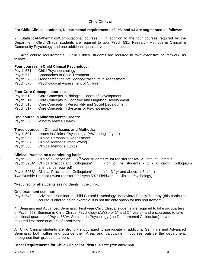## **Child Clinical**

### **For Child Clinical students, Departmental requirements #2, #3, and #4 are augmented as follows:**

2. Statistics/Mathematics/Computational courses. In addition to the four courses required by the Department, Child Clinical students are required to take Psych 531, Research Methods in Clinical & Community Psychology and one additional quantitative methods course.

3. Area course requirements. Child Clinical students are required to take extensive coursework, as follows:

### **Four courses in Child Clinical Psychology:**

- Psych 571 Child Psychopathology
- Psych 572 Approaches to Child Treatment
- Psych 576/590 Assessment of Intelligence/Practicum in Assessment
- Psych 573 Psychological Assessment of Children

### **Four Core Concepts courses:**

- Psych 513 Core Concepts in Biological Bases of Development
- Psych 514 Core Concepts in Cognitive and Linguistic Development
- Psych 515 Core Concepts in Personality and Social Development
- Psych 517 Core Concepts in Systems of Psychotherapy

### **One course in Minority Mental Health:**

Psych 580 Minority Mental Health

### **Three courses in Clinical Issues and Methods:**

- Psych 591 Issues in Clinical Psychology (AW during 1<sup>st</sup> year)
- Psych 586 Clinical Personality Assessment
- Psych 587 Clinical Methods: Interviewing
- Psych 588 Clinical Methods: Ethics

### **Clinical Practica on a continuing basis:**

- 89 Psych 589 Clinical Supervision (2nd year students **must** register for AWSS, total of 8 credits)
	- Psych 593A\* Clinical Practica and Colloquium\* (for  $2^{nd}$  yr students 1 6 cr/qtr; Colloquium attendance required)
	- Psych 593B\* Clinical Practica and Colloquium\* (for  $3^{rd}$  yr and above; 1-6 cr/qtr)

Two Outside Practica (**must** register for Psych 597: Fieldwork in Clinical Psychology)

\*Required for all students seeing clients in the clinic.

#### **One treatment seminar:**

Psych 543 Advanced Seminar in Child Clinical Psychology: Behavioral Family Therapy (this particular course is offered as an example; it is not the only option for this requirement)

4. Seminars and Advanced Seminars. First year Child Clinical students are required to take six quarters of Psych 553, Seminar in Child Clinical Psychology (AWSp of 1<sup>st</sup> and 2<sup>nd</sup> years), and encouraged to take additional quarters of Psych 550A, Seminar in Psychology (the Departmental Colloquium) beyond the required first three quarters of enrollment.

All Child Clinical students are strongly encouraged to participate in additional Seminars and Advanced Seminars, both within and outside their Area, and participate in courses outside the department, throughout their graduate careers.

### **Other Requirements for Child Clinical Students**: *A One-year internship*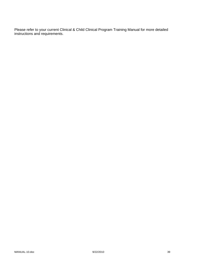Please refer to your current Clinical & Child Clinical Program Training Manual for more detailed instructions and requirements.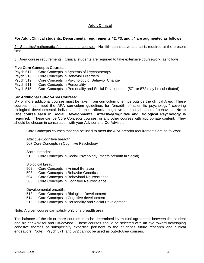## **Adult Clinical**

### **For Adult Clinical students, Departmental requirements #2, #3, and #4 are augmented as follows:**

2. Statistics/mathematics/computational courses. No fifth quantitative course is required at the present time.

3. Area course requirements. Clinical students are required to take extensive coursework, as follows.

### **Five Core Concepts Courses:**

Psych 517 Core Concepts in Systems of Psychotherapy Psych 518 Core Concepts in Behavior Disorders Psych 519 Core Concepts in Psychology of Behavior Change Psych 511 Core Concepts in Personality Psych 515 Core Concepts in Personality and Social Development (571 or 572 may be substituted)

### **Six Additional Out-of-Area Courses:**

Six or more additional courses must be taken from curriculum offerings outside the clinical Area. These courses must meet the APA curriculum guidelines for "breadth of scientific psychology," covering biological, developmental, individual-difference, affective-cognitive, and social bases of behavior. **Note: One course each in Social, Developmental, Affective/Cognitive and Biological Psychology is required***.* These can be Core Concepts courses, or any other courses with appropriate content. They should be chosen in consultation with your Advisor and Co-Advisor.

Core Concepts courses that can be used to meet the APA breadth requirements are as follows:

Affective-Cognitive breadth:

507 Core Concepts in Cognitive Psychology

Social breadth:

510 Core Concepts in Social Psychology (meets breadth in Social)

Biological breadth:

- 502 Core Concepts in Animal Behavior
- 503 Core Concepts in Behavior Genetics
- 504 Core Concepts in Behavioral Neuroscience
- 506 Core Concepts in Cognitive Neuroscience

Developmental breadth:

- 513 Core Concepts in Biological Development
- 514 Core Concepts in Cognitive development
- 515 Core Concepts in Personality and Social Development

Note. A given course can satisfy only one breadth area.

The balance of the six-or-more courses is to be determined by mutual agreement between the student and his/her Advisor and Co-advisor. These courses should be selected with an eye toward developing cohesive themes of subspecialty expertise pertinent to the student's future research and clinical endeavors. Note: Psych 571, and 572 cannot be used as out-of-Area courses.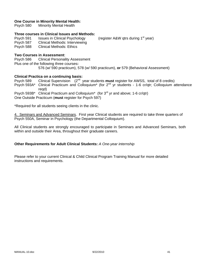### **One Course in Minority Mental Health:**

Psych 580 Minority Mental Health

#### **Three courses in Clinical Issues and Methods:**

Psych 591 Issues in Clinical Psychology (register A&W gtrs during 1<sup>st</sup> year) Psych 587 Clinical Methods: Interviewing Psych 588 Clinical Methods: Ethics

### **Two Courses in Assessment**:

Psych 586 Clinical Personality Assessment Plus one of the following three courses**:**  576 (w/ 590 practicum), 578 (w/ 590 practicum), **or** 579 (Behavioral Assessment)

#### **Clinical Practica on a continuing basis:**

Psych 589 Clinical Supervision (2nd year students **must** register for AWSS, total of 8 credits) Psych 593A\* Clinical Practicum and Colloquium<sup>\*</sup> (for 2<sup>nd</sup> yr students - 1-6 cr/qtr; Colloquium attendance reqd) Psych 593B\* Clinical Practicum and Colloquium\* (for 3<sup>rd</sup> yr and above; 1-6 cr/qtr) One Outside Practicum (**must** register for Psych 597)

\*Required for all students seeing clients in the clinic.

4. Seminars and Advanced Seminars. First year Clinical students are required to take three quarters of Psych 550A, Seminar in Psychology (the Departmental Colloquium).

All Clinical students are strongly encouraged to participate in Seminars and Advanced Seminars, both within and outside their Area, throughout their graduate careers.

#### **Other Requirements for Adult Clinical Students:** *A One-year internship*

Please refer to your current Clinical & Child Clinical Program Training Manual for more detailed instructions and requirements.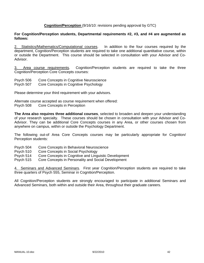### **Cognition/Perception** (9/16/10: revisions pending approval by GTC)

### **For Cognition/Perception students, Departmental requirements #2, #3, and #4 are augmented as follows:**

2. Statistics/Mathematics/Computational courses. In addition to the four courses required by the department, Cognition/Perception students are required to take one additional quantitative course, within or outside the Department. This course should be selected in consultation with your Advisor and Co-Advisor.

3. Area course requirements. Cognition/Perception students are required to take the three Cognition/Perception Core Concepts courses:

- Psych 506 Core Concepts in Cognitive Neuroscience
- Psych 507 Core Concepts in Cognitive Psychology

Please determine your third requirement with your advisors.

Alternate course accepted as course requirement when offered: Psych 508 Core Concepts in Perception

**The Area also requires three additional courses**, selected to broaden and deepen your understanding of your research specialty. These courses should be chosen in consultation with your Advisor and Co-Advisor. They can be additional Core Concepts courses in any Area, or other courses chosen from anywhere on campus, within or outside the Psychology Department.

The following out-of Area Core Concepts courses may be particularly appropriate for Cognition/ Perception students:

- Psych 504 Core Concepts in Behavioral Neuroscience
- Psych 510 Core Concepts in Social Psychology
- Psych 514 Core Concepts in Cognitive and Linguistic Development
- Psych 515 Core Concepts in Personality and Social Development

4. Seminars and Advanced Seminars. First year Cognition/Perception students are required to take three quarters of Psych 555, Seminar in Cognition/Perception.

All Cognition/Perception students are strongly encouraged to participate in additional Seminars and Advanced Seminars, both within and outside their Area, throughout their graduate careers.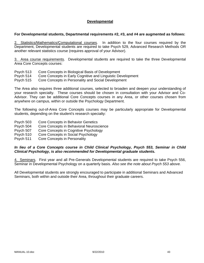### **Developmental**

### **For Developmental students, Departmental requirements #2, #3, and #4 are augmented as follows:**

2. Statistics/Mathematics/Çomputational courses. In addition to the four courses required by the Department, Developmental students are required to take Psych 529, Advanced Research Methods OR another relevant statistics course (requires approval of your Advisor).

3. Area course requirements. Developmental students are required to take the three Developmental Area Core Concepts courses:

- Psych 513 Core Concepts in Biological Basis of Development
- Psych 514 Core Concepts in Early Cognitive and Linguistic Development

Psych 515 Core Concepts in Personality and Social Development

The Area also requires three additional courses, selected to broaden and deepen your understanding of your research specialty. These courses should be chosen in consultation with your Advisor and Co-Advisor. They can be additional Core Concepts courses in any Area, or other courses chosen from anywhere on campus, within or outside the Psychology Department.

The following out-of-Area Core Concepts courses may be particularly appropriate for Developmental students, depending on the student's research specialty:

- Psych 503 Core Concepts in Behavior Genetics
- Psych 504 Core Concepts in Behavioral Neuroscience
- Psych 507 Core Concepts in Cognitive Psychology
- Psych 510 Core Concepts in Social Psychology
- Psych 511 Core Concepts in Personality

### *In lieu of a Core Concepts course in Child Clinical Psychology, Psych 553, Seminar in Child Clinical Psychology, is also recommended for Developmental graduate students.*

4. Seminars. First year and all Pre-Generals Developmental students are required to take Psych 556, Seminar in Developmental Psychology on a quarterly basis. *Also see the note about Psych 553 above.* 

All Developmental students are strongly encouraged to participate in additional Seminars and Advanced Seminars, both within and outside their Area, throughout their graduate careers.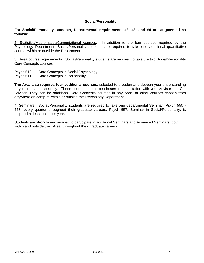#### **Social/Personality**

#### **For Social/Personality students, Departmental requirements #2, #3, and #4 are augmented as follows:**

2. Statistics/Mathematics/Çomputational courses. In addition to the four courses required by the Psychology Department, Social/Personality students are required to take one additional quantitative course, within or outside the Department.

3. Area course requirements. Social/Personality students are required to take the two Social/Personality Core Concepts courses:

- Psych 510 Core Concepts in Social Psychology
- Psych 511 Core Concepts in Personality

**The Area also requires four additional courses,** selected to broaden and deepen your understanding of your research specialty. These courses should be chosen in consultation with your Advisor and Co-Advisor. They can be additional Core Concepts courses in any Area, or other courses chosen from anywhere on campus, within or outside the Psychology Department.

4. Seminars. Social/Personality students are required to take one departmental Seminar (Psych 550 - 558) every quarter throughout their graduate careers. Psych 557, Seminar in Social/Personality, is required at least once per year.

Students are strongly encouraged to participate in additional Seminars and Advanced Seminars, both within and outside their Area, throughout their graduate careers.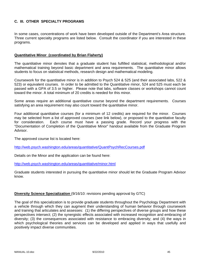### **C. III. OTHER SPECIALTY PROGRAMS**

In some cases, concentrations of work have been developed outside of the Department's Area structure. Three current specialty programs are listed below. Consult the coordinator if you are interested in these programs.

### **Quantitative Minor (coordinated by Brian Flaherty)**

The quantitative minor denotes that a graduate student has fulfilled statistical, methodological and/or mathematical training beyond basic department and area requirements. The quantitative minor allows students to focus on statistical methods, research design and mathematical modeling.

Coursework for the quantitative minor is in addition to Psych 524 & 525 (and their associated labs, 522 & 523) or equivalent courses. In order to be admitted to the Quantitative minor, 524 and 525 must each be passed with a GPA of 3.5 or higher. Please note that labs, software classes or workshops cannot count toward the minor. A total minimum of 20 credits is needed for this minor.

Some areas require an additional quantitative course beyond the department requirements. Courses satisfying an area requirement may also count toward the quantitative minor.

Four additional quantitative courses (for a minimum of 12 credits) are required for the minor. Courses may be selected from a list of approved courses (see link below), or proposed to the quantitative faculty for consideration. Each course must have a passing grade. Record your progress with the "Documentation of Completion of the Quantitative Minor" handout available from the Graduate Program Advisor.

The approved course list is located here:

http://web.psych.washington.edu/areas/quantitative/QuantPsychRecCourses.pdf

Details on the Minor and the application can be found here:

http://web.psych.washington.edu/areas/quantitative/minor.html

Graduate students interested in pursuing the quantitative minor should let the Graduate Program Advisor know.

#### **Diversity Science Specialization** (9/16/10: revisions pending approval by GTC)

The goal of this specialization is to provide graduate students throughout the Psychology Department with a vehicle through which they can augment their understanding of human behavior through coursework and training that articulates and assesses: (1) the differing perspectives of diverse groups and how these perspectives intersect; (2) the synergistic effects associated with increased recognition and embracing of diversity; (3) the consequences associated with resistance to embracing diversity; and (4) the ways in which psychological theories and services can be developed and applied in ways that usefully and positively impact diverse communities.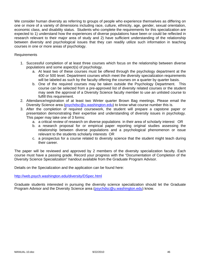We consider human diversity as referring to groups of people who experience themselves as differing on one or more of a variety of dimensions including race, culture, ethnicity, age, gender, sexual orientation, economic class, and disability status. Students who complete the requirements for this specialization are expected to 1) understand how the experiences of diverse populations have been or could be reflected in research relevant to their major area of study and 2) have sufficient understanding of the relationship between diversity and psychological issues that they can readily utilize such information in teaching courses in one or more areas of psychology.

### Requirements

- 1. Successful completion of at least three courses which focus on the relationship between diverse populations and some aspect(s) of psychology.
	- a. At least two of these courses must be offered through the psychology department at the 400 or 500 level. Department courses which meet the diversity specialization requirements will be labeled as such by the faculty offering the courses on a quarter by quarter basis.
	- b. One of the required courses may be taken outside the Psychology Department. This course can be selected from a pre-approved list of diversity related courses or the student may seek the approval of a Diversity Science faculty member to use an unlisted course to fulfill this requirement.
- 2. Attendance/registration of at least two Winter quarter Brown Bag meetings. Please email the Diversity Science area (psychdsc@u.washington.edu) to know what course number this is.
- 3. After the completion of required coursework, the student will prepare a capstone paper or presentation demonstrating their expertise and understanding of diversity issues in psychology. This paper may take one of 3 forms:
	- a. a critical review of research on diverse populations in their area of scholarly interest OR
	- b. a research proposal for or empirical paper reporting original studies assessing the relationship between diverse populations and a psychological phenomenon or issue relevant to the students scholarly interests OR
	- c. a prospectus for a course related to diversity science that the student might teach during their career.

The paper will be reviewed and approved by 2 members of the diversity specialization faculty. Each course must have a passing grade. Record your progress with the "Documentation of Completion of the Diversity Science Specialization" handout available from the Graduate Program Advisor.

Details on the Specialization and the application can be found here:

http://web.psych.washington.edu/diversity/DSpec.html

Graduate students interested in pursuing the diversity science specialization should let the Graduate Program Advisor and the Diversity Science area (psychdsc@u.washington.edu) know.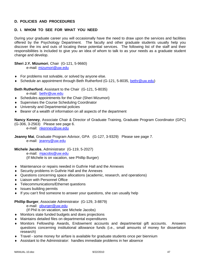### **D. POLICIES AND PROCEDURES**

# **D. I. WHOM TO SEE FOR WHAT YOU NEED**

During your graduate career you will occasionally have the need to draw upon the services and facilities offered by the Psychology Department. The faculty and other graduate students usually help you discover the ins and outs of locating these potential services. The following list of the staff and their responsibilities is included to give you an idea of whom to talk to as your needs as a graduate student change and develop.

## **Sheri J.Y. Mizumori**, Chair (G-121, 5-9660)

e-mail: mizumori@uw.edu

- ♦ For problems not solvable, or solved by anyone else.
- ♦ Schedule an appointment through Beth Rutherford (G-121, 5-8035, bethr@uw.edu)

**Beth Rutherford**, Assistant to the Chair (G-121, 5-8035)

e-mail: bethr@uw.edu

- ♦ Schedules appointments for the Chair (Sheri Mizumori)
- ♦ Supervises the Course Scheduling Coordinator
- ♦ University and Departmental policies
- ♦ Bearer of a wealth of information on all aspects of the department

**Nancy Kenney**, Associate Chair & Director of Graduate Training, Graduate Program Coordinator (GPC) (G-306, 3-2563) Please see page 6.

e-mail: nkenney@uw.edu

**Jeanny Mai**, Graduate Program Advisor, GPA (G-127, 3-9329) Please see page 7. e-mail: jeanny@uw.edu

**Michele Jacobs**, Administrator (G-119, 5-2027) e-mail: mjacobs@uw.edu (If Michele is on vacation, see Phillip Burger)

- ♦ Maintenance or repairs needed in Guthrie Hall and the Annexes
- ♦ Security problems in Guthrie Hall and the Annexes
- ♦ Questions concerning space allocations (academic, research, and operations)
- ♦ Liaison with Personnel Office
- ♦ Telecommunications/Ethernet questions
- ♦ Issues building permits
- ♦ If you can't find someone to answer your questions, she can usually help

#### **Phillip Burger**, Associate Administrator (G-129, 3-8879)

e-mail: pburger@uw.edu

(If Phil is on vacation, see Michele Jacobs)

- ♦ Monitors state funded budgets and does projections
- ♦ Maintains detailed files on departmental expenditures
- ♦ Monitors Fellowship Awards, Endowment accounts and departmental gift accounts. Answers questions concerning institutional allowance funds (i.e., small amounts of money for dissertation research)
- ♦ Travel some money for airfare is available for graduate students once per biennium
- Assistant to the Administrator: handles immediate problems in her absence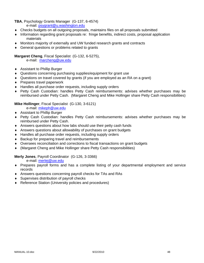**TBA**, Psychology Grants Manager (G-137, 6-4574)

e-mail: psygrant@u.washington.edu

- ♦ Checks budgets on all outgoing proposals, maintains files on all proposals submitted
- ♦ Information regarding grant proposals re: fringe benefits, indirect costs, proposal application materials
- ♦ Monitors majority of externally and UW funded research grants and contracts
- ♦ General questions or problems related to grants

#### **Margaret Cheng**, Fiscal Specialist (G-132, 6-5275),

e-mail: marcheng@uw.edu

- ♦ Assistant to Phillip Burger
- ♦ Questions concerning purchasing supplies/equipment for grant use
- ♦ Questions on travel covered by grants (if you are employed as an RA on a grant)
- ♦ Prepares travel paperwork
- ♦ Handles all purchase order requests, including supply orders
- ♦ Petty Cash Custodian: handles Petty Cash reimbursements: advises whether purchases may be reimbursed under Petty Cash. (Margaret Cheng and Mike Hollinger share Petty Cash responsibilities)

### **Mike Hollinger**, Fiscal Specialist (G-130, 3-6121)

e-mail: mikeph@uw.edu

- ♦ Assistant to Phillip Burger
- ♦ Petty Cash Custodian: handles Petty Cash reimbursements: advises whether purchases may be reimbursed under Petty Cash.
- ♦ Answers questions about how labs should use their petty cash funds
- ♦ Answers questions about allowability of purchases on grant budgets
- ♦ Handles all purchase order requests, including supply orders
- ♦ Backup for preparing travel and reimbursements
- ♦ Oversees reconciliation and corrections to fiscal transactions on grant budgets
- ♦ (Margaret Cheng and Mike Hollinger share Petty Cash responsibilities)

### **Merly Jones**, Payroll Coordinator (G-126, 3-3366)

e-mail: merlej@uw.edu

- ♦ Prepares payroll forms and has a complete listing of your departmental employment and service records
- ♦ Answers questions concerning payroll checks for TAs and RAs
- ♦ Supervises distribution of payroll checks
- ♦ Reference Station (University policies and procedures)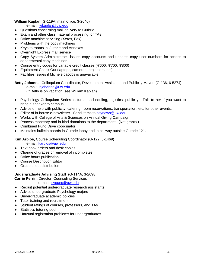### **William Kaplan** (G-119A, main office, 3-2640)

e-mail: wkaplan@uw.edu

- ♦ Questions concerning mail delivery to Guthrie
- ♦ Exam and other class material processing for TAs
- ♦ Office machine servicing (Xerox, Fax)
- ♦ Problems with the copy machines
- ♦ Keys to rooms in Guthrie and Annexes
- ♦ Overnight Express mail service
- ♦ Copy System Administrator: issues copy accounts and updates copy user numbers for access to departmental copy machines
- ♦ Course entry codes for variable credit classes (Ψ600, Ψ700, Ψ800)
- ♦ Equipment Check Out (laptops, cameras, projectors, etc)
- ♦ Facilities issues if Michele Jacobs is unavailable

**Betty Johanna**, Colloquium Coordinator, Development Assistant, and Publicity Maven (G-136, 6-5274) e-mail: bjohanna@uw.edu (If Betty is on vacation, see William Kaplan)

- ♦ Psychology Colloquium Series lectures: scheduling, logistics, publicity. Talk to her if you want to bring a speaker to campus.
- ♦ Advice or help with publicity, catering, room reservations, transportation, etc. for other events.
- ◆ Editor of in-house e-newsletter. Send items to psynews@uw.edu.
- ♦ Works with College of Arts & Sciences on Annual Giving Campaign.
- ♦ Process monetary and in-kind donations to the department. (Not grants.)
- ♦ Combined Fund Drive coordinator.
- ♦ Maintains bulletin boards in Guthrie lobby and in hallway outside Guthrie 121.

**Kim Arbios,** Course Scheduling Coordinator (G-122, 3-1469)

e-mail: karbios@uw.edu

- ♦ Text book orders and desk copies
- ♦ Change of grades or removal of incompletes
- ♦ Office hours publication
- ♦ Course Description Editor
- ♦ Grade sheet distribution

#### **Undergraduate Advising Staff** (G-114A, 3-2698)

**Carrie Perrin,** Director, Counseling Services

e-mail: cyoung@uw.edu

- ♦ Recruit potential undergraduate research assistants
- ♦ Advise undergraduate Psychology majors
- ♦ Undergraduate academic policies
- ♦ Tutor training and recruitment
- ♦ Student ratings of courses, professors, and TAs
- ♦ Statistics tutoring pool
- ♦ Unusual registration problems for undergraduates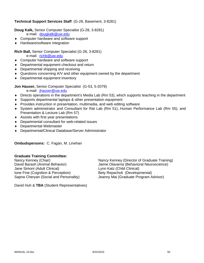### **Technical Support Services Staff** (G-28, Basement, 3-8281)

**Doug Kalk,** Senior Computer Specialist (G-28, 3-8281)

- e-mail: dougkalk@uw.edu
- ♦ Computer hardware and software support
- ♦ Hardware/software integration

### **Rich Ball,** Senior Computer Specialist (G-28, 3-8281)

e-mail: richb@uw.edu

- ♦ Computer hardware and software support
- ♦ Departmental equipment checkout and return
- ♦ Departmental shipping and receiving
- ♦ Questions concerning A/V and other equipment owned by the department
- ♦ Departmental equipment inventory

**Jon Hauser,** Senior Computer Specialist (G-53, 5-2079)

e-mail: jhauser@uw.edu

- ♦ Directs operations in the department's Media Lab (Rm 53), which supports teaching in the department
- ♦ Supports departmental laptops & other presentation equipment
- ♦ Provides instruction in presentation, multimedia, and web editing software
- ♦ System administrator and Consultant for Rat Lab (Rm 51), Human Performance Lab (Rm 55), and Presentation & Lecture Lab (Rm 57)
- ♦ Assists with first year presentations
- ♦ Departmental consultant for web-related issues
- ♦ Departmental Webmaster
- ♦ Departmental/Clinical Database/Server Administrator

**Ombudspersons:** C. Fagan, M. Linehan

### **Graduate Training Committee:**

Jane Simoni (Adult Clinical) Lynn Katz (Child Clinical) Ione Fine (Cognition & Perception) Bety Repacholi (Developmental)

Nancy Kenney (Chair)<br>
David Barash (Animal Behavior) Sanney Kenney (Director of Graduate Training)<br>
Jaime Olavarria (Behavioral Neuroscience) Jaime Olavarria (Behavioral Neuroscience) Sapna Cheryan (Social and Personality) Jeanny Mai (Graduate Program Advisor)

David Huh & **TBA** (Student Representatives)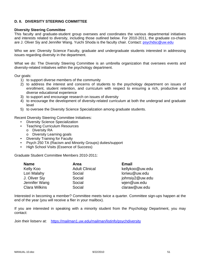### **D. II. DIVERSITY STEERING COMMITTEE**

#### **Diversity Steering Committee**

This faculty and graduate-student group oversees and coordinates the various departmental initiatives and interests related to diversity, including those outlined below. For 2010-2011, the graduate co-chairs are J. Oliver Siy and Jennifer Wang. Yuichi Shoda is the faculty chair. Contact: psychdsc@uw.edu

Who we are: Diversity Science Faculty, graduate and undergraduate students interested in addressing issues regarding diversity in the department.

What we do: The Diversity Steering Committee is an umbrella organization that oversees events and diversity-related initiatives within the psychology department.

Our goals:

- 1) to support diverse members of the community
- 2) to address the interest and concerns of students to the psychology department on issues of enrollment, student retention, and curriculum with respect to ensuring a rich, productive and diverse educational experience
- 3) to support and encourage research on issues of diversity
- 4) to encourage the development of diversity-related curriculum at both the undergrad and graduate level
- 5) to oversee the Diversity Science Specialization among graduate students.

Recent Diversity Steering Committee Initiatives:

- Diversity Science Specialization
- Teaching Curriculum Resources
	- o Diversity RA
	- o Diversity Learning goals
- Diversity Training for Faculty
- Psych 250 TA (Racism and Minority Groups) duties/support
- High School Visits (Essence of Success)

Graduate Student Committee Members 2010-2011:

| <b>Name</b>          | Area                  | <b>Email</b>    |
|----------------------|-----------------------|-----------------|
| Kelly Koo            | <b>Adult Clinical</b> | kellykoo@uw.edu |
| Lori Malahy          | Social                | loriwu@uw.edu   |
| J. Oliver Siy        | Social                | johnsiy2@uw.edu |
| Jennifer Wang        | Social                | wjen@uw.edu     |
| <b>Clara Wilkins</b> | Social                | claraw@uw.edu   |

Interested in becoming a member? Committee meets twice a quarter. Committee sign-ups happen at the end of the year (you will receive a flier in your mailbox).

If you are interested in speaking with a minority student from the Psychology Department, you may contact:

Join their listserv at: https://mailman1.uw.edu/mailman/listinfo/psychdiversity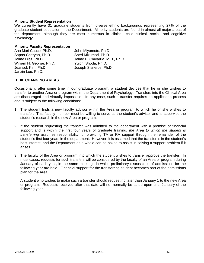### **Minority Student Representation**

We currently have 31 graduate students from diverse ethnic backgrounds representing 27% of the graduate student population in the Department. Minority students are found in almost all major areas of the department, although they are most numerous in clinical, child clinical, social, and cognitive psychology.

#### **Minority Faculty Representation**

| Ana Mari Cauce, Ph.D.    | John Miyamoto, Ph.D             |
|--------------------------|---------------------------------|
| Sapna Cheryan, Ph.D.     | Sheri Mizumori, Ph.D.           |
| Jaime Diaz, Ph.D.        | Jaime F. Olavarria, M.D., Ph.D. |
| William H. George, Ph.D. | Yuichi Shoda, Ph.D.             |
| Jeansok Kim, Ph.D.       | Joseph Sisneros, Ph.D.          |
| Janxin Leu, Ph.D.        |                                 |

### **D. III. CHANGING AREAS**

Occasionally, after some time in our graduate program, a student decides that he or she wishes to transfer to another Area or program within the Department of Psychology. Transfers into the Clinical Area are discouraged and virtually impossible. In any case, such a transfer requires an application process and is subject to the following conditions:

- 1. The student finds a new faculty advisor within the Area or program to which he or she wishes to transfer. This faculty member must be willing to serve as the student's advisor and to supervise the student's research in the new Area or program.
- 2. If the student requesting the transfer was admitted to the department with a promise of financial support and is within the first four years of graduate training, *the Area to which the student is transferring* assumes responsibility for providing TA or RA support through the remainder of the student's first four years in the department. However, it is assumed that the transfer is in the student's best interest, and the Department as a whole can be asked to assist in solving a support problem if it arises.
- 3. The faculty of the Area or program into which the student wishes to transfer approve the transfer. In most cases, requests for such transfers will be considered by the faculty of an Area or program during January of each year, in the same meetings in which preliminary discussions of admissions for the following year are held. Financial support for the transferring student becomes part of the admissions plan for the Area.

 A student who wishes to make such a transfer should request no later than January 1 to the new Area or program. Requests received after that date will not normally be acted upon until January of the following year.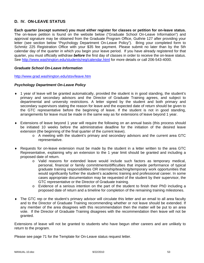# **D. IV. ON-LEAVE STATUS**

**Each quarter (except summer) you must either register for classes or petition for on-leave status.** The on-leave petition is found on the website below ("Graduate School On-Leave Information") and approval signature may be obtained from the Graduate Program Office, Guthrie 127 after providing your letter (see section below "Psychology Department On-Leave Policy"). Bring your completed form to Schmitz 225 Registration Office with your \$35 fee payment. Please submit no later than by the 5th calendar day of the quarter in which you begin your leave period. If you have already registered for that quarter, you must officially withdraw *before* the first day of classes in order to receive the on-leave status. See http://www.washington.edu/students/reg/calendar.html for more details or call 206-543-4000.

#### *Graduate School On-Leave Information*

http://www.grad.washington.edu/stsv/leave.htm

#### *Psychology Department On-Leave Policy*

- ♦ 1 year of leave will be granted automatically, provided the student is in good standing, the student's primary and secondary advisors and the Director of Graduate Training agrees, and subject to departmental and university restrictions. A letter signed by the student and both primary and secondary supervisors stating the reason for leave and the expected date of return should be given to the GTC representative before the beginning of leave. If the student is not in good standing, arrangements for leave must be made in the same way as for extensions of leave beyond 1 year.
- ♦ Extensions of leave beyond 1 year will require the following on an annual basis (this process should be initiated 10 weeks before the administrative deadline for the initiation of the desired leave extension (the beginning of the final quarter of the current leave).
	- o A meeting with the student's primary and secondary advisors and the current area GTC representative.
- ♦ Requests for on-leave extension must be made by the student in a letter written to the area GTC Representative, explaining why an extension to the 1 year limit should be granted and including a proposed date of return.
	- o Valid reasons for extended leave would include such factors as temporary medical, personal, financial or family commitments/difficulties that impede performance of typical graduate training responsibilities OR internship/teaching/temporary work opportunities that would significantly further the student's academic training and professional career. In some cases appropriate documentation may be requested of the student by their supervisor, the GTC representative or the Director of Graduate training.
	- o Evidence of a serious intention on the part of the student to finish their PhD including a proposed date of return and a timeline for completion of the remaining training milestones.
- ♦ The GTC rep or the student's primary advisor will circulate this letter and an email to all area faculty and to the Director of Graduate Training recommending whether or not leave should be extended. If any member of the area disagrees with this recommendation then the matter will be put to an area vote. If the Director of Graduate Training disagrees with the recommendation then leave will not be granted.

Extensions of leave will not be granted to students who have begun other careers and are unlikely to return to the program.

Please see page 71 for the Template for On-Leave status request letter.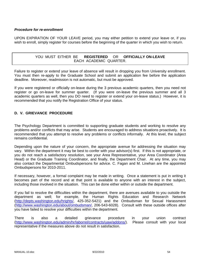### *Procedure for re-enrollment*

UPON EXPIRATION OF YOUR LEAVE period, you may either petition to extend your leave or, if you wish to enroll, simply register for courses before the beginning of the quarter in which you wish to return.

## YOU MUST EITHER BE **REGISTERED** OR **OFFICIALLY ON-LEAVE** EACH ACADEMIC QUARTER.

Failure to register or extend your leave of absence will result in dropping you from University enrollment. You must then re-apply to the Graduate School and submit an application fee before the application deadline. Moreover, readmission is not automatic, but must be approved.

If you were registered or officially on-leave during the 3 previous academic quarters, then you need not register or go on-leave for summer quarter. (If you were on-leave the previous summer and all 3 academic quarters as well, then you DO need to register or extend your on-leave status.) However, it is recommended that you notify the Registration Office of your status.

## **D. V. GRIEVANCE PROCEDURE**

The Psychology Department is committed to supporting graduate students and working to resolve any problems and/or conflicts that may arise. Students are encouraged to address situations proactively. It is recommended that you attempt to resolve any problems or conflicts informally. At this level, the subject remains confidential.

Depending upon the nature of your concern, the appropriate avenue for addressing the situation may vary. Within the department it may be best to confer with your advisor(s) first. If this is not appropriate, or you do not reach a satisfactory resolution, see your Area Representative, your Area Coordinator (Area Head) or the Graduate Training Coordinator, and finally, the Department Chair. At any time, you may also contact the Departmental Ombudspersons for advice. C. Fagan and M. Linehan are the appointed Ombudspersons for 2010-2011.

If necessary, however, a formal complaint may be made in writing. Once a statement is put in writing it becomes part of the record and at that point is available to anyone with an interest in the subject, including those involved in the situation. This can be done either within or outside the department.

If you fail to resolve the difficulties within the department, there are avenues available to you outside the department as well; for example, the Human Rights Education and Research Network (http://depts.washington.edu/hrights/, 425-352-5421) and the Ombudsman for Sexual Harassment (http://www.washington.edu/about/ombudsman/, 206-543-6028). Consult with these outside offices after you have failed to resolve your difficulties within the department.

There is also a detailed grievance procedure in your union contract (http://www.washington.edu/admin/hr/laborrel/contracts/uaw/addons/). Please consult with your local representative if the measures above do not result in satisfaction.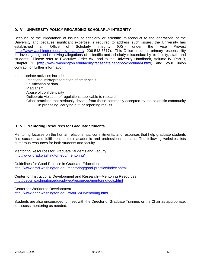### **D. VI. UNIVERSITY POLICY REGARDING SCHOLARLY INTEGRITY**

Because of the importance of issues of scholarly or scientific misconduct to the operations of the University and because significant expertise is required to address such issues, the University has established an Office of Scholarly Integrity (OSI) under the Vice Provost (http://www.washington.edu/provost/ap/osi/, 206-543-6617). This Office assumes primary responsibility for investigating and resolving allegations of scientific and scholarly misconduct by its faculty, staff, and students. Please refer to Executive Order #61 and to the University Handbook, Volume IV, Part 9, Chapter 1 (http://www.washington.edu/faculty/facsenate/handbook/Volume4.html) and your union contract for further information.

Inappropriate activities include:

Intentional misrepresentation of credentials Falsification of data **Plagiarism** Abuse of confidentiality Deliberate violation of regulations applicable to research Other practices that seriously deviate from those commonly accepted by the scientific community in proposing, carrying out, or reporting results

### **D. VII. Mentoring Resources for Graduate Students**

Mentoring focuses on the human relationships, commitments, and resources that help graduate students find success and fulfillment in their academic and professional pursuits. The following websites lists numerous resources for both students and faculty.

Mentoring Resources for Graduate Students and Faculty http://www.grad.washington.edu/mentoring/

Guidelines for Good Practice in Graduate Education http://www.grad.washington.edu/mentoring/good-practice/index.shtml

Center for Instructional Development and Research—Mentoring Resources: http://depts.washington.edu/cidrweb/resources/mentoringtools.html

Center for Workforce Development http://www.engr.washington.edu/cwd/CWDMentoring.html

Students are also encouraged to meet with the Director of Graduate Training, or the Chair as appropriate, to discuss mentoring as needed.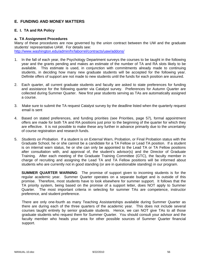# **E. FUNDING AND MONEY MATTERS**

### **E. I. TA and RA Policy**

#### **a. TA Assignment Procedures**

Many of these procedures are now governed by the union contract between the UW and the graduate students' representative UAW. For details see: http://www.washington.edu/admin/hr/laborrel/contracts/uaw/addons/

- 1. In the fall of each year, the Psychology Department surveys the courses to be taught in the following year and the grants pending and makes an estimate of the number of TA and RA slots likely to be available. This estimate is used, in conjunction with commitments already made to continuing students, in deciding how many new graduate students will be accepted for the following year. Definite offers of support are not made to new students until the funds for each position are assured.
- 2. Each quarter, all current graduate students and faculty are asked to state preferences for funding and assistance for the following quarter via Catalyst survey. Preferences for Autumn Quarter are collected during Summer Quarter. New first year students serving as TAs are automatically assigned a course.
- 3. Make sure to submit the TA request Catalyst survey by the deadline listed when the quarterly request email is sent
- 4. Based on stated preferences, and funding priorities (see Priorities, page 57), formal appointment offers are made for both TA and RA positions just prior to the beginning of the quarter for which they are effective. It is not possible to make these any further in advance primarily due to the uncertainty of course registration and research funds.
- 5. *Students on Probation.* If a student is on External Warn, Probation, or Final Probation status with the Graduate School, he or she cannot be a candidate for a TA Fellow or Lead TA position. If a student is on internal warn status, he or she can only be appointed to the Lead TA or TA Fellow positions after consultation with, and approval of, the student's advisor(s) and the Director of Graduate Training. After each meeting of the Graduate Training Committee (GTC), the faculty member in charge of recruiting and assigning the Lead TA and TA Fellow positions will be informed about students who are currently not in good standing (or are in questionable standing) in our program.

**SUMMER QUARTER WARNING**: The promise of support given to incoming students is for the regular academic year. Summer Quarter operates on a separate budget and is outside of this promise. Therefore, most students have to look elsewhere for summer support. It follows that the TA priority system, being based on the promise of a support letter, does NOT apply to Summer Quarter. The most important criteria in selecting for summer TAs are competence, instructor preference, and student preference.

There are only one-fourth as many Teaching Assistantships available during Summer Quarter as there are during each of the three quarters of the academic year. This does not include several courses taught entirely by senior graduate students. Hence, we can NOT give TAs to all those graduate students who request them for Summer Quarter. You should consult your advisor and the faculty member who heads your area for other possible sources of Summer Quarter financial support.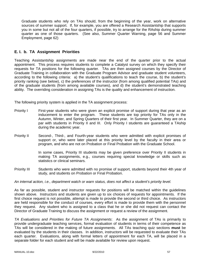Graduate students who rely on TAs should, from the beginning of the year, work on alternative sources of summer support. If, for example, you are offered a Research Assistantship that supports you in some but not all of the four quarters, if possible, try to arrange for the RAship during summer quarter as one of those quarters. (See also, Summer Quarter Warning, page 56 and Summer Employment, page 62)

# **E. I. b. TA Assignment Priorities**

Teaching Assistantship assignments are made near the end of the quarter prior to the actual appointment. This process requires students to complete a Catalyst survey on which they specify their requests for TA positions for the following quarter. TAs are then assigned courses by the Director of Graduate Training in collaboration with the Graduate Program Advisor and graduate student volunteers, according to the following criteria: a) the student's qualifications to teach the course, b) the student's priority ranking (see below), c) the preferences of the instructor (from among qualified potential TAs) and of the graduate students (from among available courses), and d) the student's demonstrated teaching ability. The overriding consideration in assigning TAs is the quality and enhancement of instruction.

The following priority system is applied in the TA assignment process:

- Priority I First-year students who were given an explicit promise of support during that year as an inducement to enter the program. These students are top priority for TAs only in the Autumn, Winter, and Spring Quarters of their first year. In Summer Quarter, they are on a par with students in Priority II and III. Only Priority I students are guaranteed a TAship during the academic year.
- Priority II Second-, Third-, and Fourth-year students who were admitted with explicit promises of support or, who were later placed at this priority level by the faculty in their area or program, and who are not on Probation or Final Probation with the Graduate School.

In some cases, Priority III students may be given preference over Priority II students in making TA assignments, e.g., courses requiring special knowledge or skills such as statistics or clinical seminars.

Priority III Students who were admitted with no promise of support, students beyond their 4th year of study, and students on Probation or Final Probation.

#### *An internal action, i.e., department watch or warn status, does not affect a student's priority level.*

As far as possible, student and instructor requests for positions will be matched within the guidelines shown above. Instructors and students are given up to six choices of requests for appointments. If the first choice request is not possible, attempt is made to provide the second or third choice. As instructors are held responsible for the conduct of courses, every effort is made to provide them with the personnel they request. Any student who is assigned to a class that he or she did not request can contact the Director of Graduate Training to discuss the assignment or request a review of the assignment.

*TA Evaluations and Priorities for Future TA Assignments*: As the assignment of TAs is primarily to provide undergraduate teaching services, formal evaluation of students in terms of their competence as TAs will be considered in the making of future assignments. All TAs teaching quiz sections **must** be evaluated by the students in their classes. In addition, instructors will be requested to evaluate their TAs each quarter. Evaluations, along with formal letters of appointment for each TA, will be placed in a separate folder for each student and will be made available for review upon request.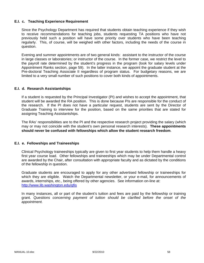### **E.I. c. Teaching Experience Requirement**

Since the Psychology Department has required that students obtain teaching experience if they wish to receive recommendations for teaching jobs, students requesting TA positions who have not previously held such a position will have some priority over students who have been teaching regularly. This, of course, will be weighed with other factors, including the needs of the course in question.

Evening and summer appointments are of two general kinds: assistant to the instructor of the course in large classes or laboratories; or instructor of the course. In the former case, we restrict the level to the payroll rate determined by the student's progress in the program (look for salary levels under Appointment Ranks section, page 59). In the latter instance, we appoint the graduate student at the Pre-doctoral Teaching Associate II regardless of program status. For budgetary reasons, we are limited to a very small number of such positions to cover both kinds of appointments.

### **E.I. d. Research Assistantships**

If a student is requested by the Principal Investigator (PI) and wishes to accept the appointment, that student will be awarded the RA position. This is done because PIs are responsible for the conduct of the research. If the PI does not have a particular request, students are sent by the Director of Graduate Training to interview for the position, based on the same priorities that are stated for assigning Teaching Assistantships.

The RAs' responsibilities are to the PI and the respective research project providing the salary (which may or may not coincide with the student's own personal research interests). **These appointments should never be confused with fellowships which allow the student research freedom**.

#### **E.I. e. Fellowships and Traineeships**

Clinical Psychology traineeships typically are given to first year students to help them handle a heavy first year course load. Other fellowships and traineeships which may be under Departmental control are awarded by the Chair, after consultation with appropriate faculty and as dictated by the conditions of the fellowship in question.

Graduate students are encouraged to apply for any other advertised fellowship or traineeships for which they are eligible. Watch the Departmental newsletter, or your e-mail, for announcements of awards, internships, etc., being offered by other agencies. See information on-line at: http://www.lib.washington.edu/gfis

In many instances, all or part of the student's tuition and fees are paid by the fellowship or training grant. *Questions concerning payment of tuition should be clarified before the onset of the appointment.*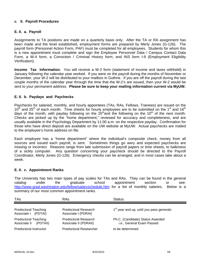### **D. II. Payroll Procedures**

### **E. II. a. Payroll**

Assignments to TA positions are made on a quarterly basis only. After the TA or RA assignment has been made and the level established, employment forms are prepared by Merly Jones (G-126). The payroll form (Personnel Action Form, PAF) must be completed for all employees. Students for whom this is a new appointment must complete and sign the Employee Personnel Data / Campus Contact Data Form, a W-4 form, a Conviction / Criminal History form, and INS form I-9 (Employment Eligibility Verification).

**Income Tax Information.** You will receive a W-2 form (statement of income and taxes withheld) in January following the calendar year worked. If you were on the payroll during the months of November or December, your W-2 will be distributed to your mailbox in Guthrie. If you are off the payroll during the last couple months of the calendar year through the time that the W-2's are issued, then your W-2 would be sent to your permanent address. **Please be sure to keep your mailing information current via MyUW.**

### **E. II. b. Paydays and Paychecks**

Paychecks for salaried, monthly, and hourly appointees (TAs, RAs, Fellows, Trainees) are issued on the  $10<sup>th</sup>$  and 25<sup>th</sup> of each month. Time sheets for hourly employees are to be submitted on the 1<sup>st</sup> and 16<sup>th</sup> days of the month, with payday following on the  $25<sup>th</sup>$  and the following on the 10<sup>th</sup> of the next month. Checks are picked up by the "home department," reviewed for accuracy and completeness, and are usually available in the Psychology Department by 11:00 a.m. on the respective payday. Confirmation for those who have direct deposit are available on the UW website at MyUW. Actual paychecks are mailed to the employee's home address on file.

Each employee has a "home department" where the individual's composite check, money from all sources and issued each payroll, is sent. Sometimes things go awry and expected paychecks are missing or incorrect. Reasons range from late submission of payroll papers or time sheets, to balkiness of a sickly computer. Any question concerning your paycheck should be directed to the Payroll Coordinator, Merly Jones (G-126). Emergency checks can be arranged, and in most cases take about a week.

#### **E. II. c. Appointment Ranks**

The University has two main types of pay scales for TAs and RAs. They can be found in the general catalog under the graduate school appointment section or see: http://www.grad.washington.edu/fellow/salaryschedule.htm for a list of monthly salaries. Below is a summary of our most common appointment ranks.

| <b>TAs</b>                                           | RAs                                           | <b>Status</b>                                                 |
|------------------------------------------------------|-----------------------------------------------|---------------------------------------------------------------|
| <b>Predoctoral Teaching</b><br>Associate I (PDTAI)   | Predoctoral Research<br>Associate I (PDRAI)   | 1 <sup>st</sup> year and up, until you pass generals          |
| <b>Predoctoral Teaching</b><br>Associate II (PDTAII) | Predoctoral Research<br>Associate II (PDRAII) | Ph.C. (Candidate) Status Awarded<br>i.e., General Exam Passed |
| Predoctoral Instructor                               | <b>Predoctoral Researcher</b>                 | to be determined                                              |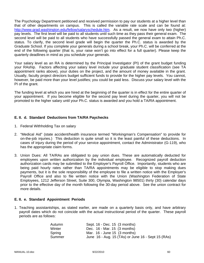The Psychology Department petitioned and received permission to pay our students at a higher level than that of other departments on campus. This is called the variable rate scale and can be found at: http://www.grad.washington.edu/fellow/salaryschedule.htm. As a result, we now have only two (higher) pay levels. The first level will be paid to all students until such time as they pass their general exam. The second level will be paid to all students who have successfully passed the general exam to attain Ph.C. status. To clarify, the second level grade will begin the quarter the Ph.C. status is awarded by the Graduate School. If you complete your generals during a school break, your Ph.C. will be conferred at the end of the following quarter (that is, your raise won't go into effect for a full quarter). Please keep the quarterly deadlines in mind as you schedule your generals.

Your salary level as an RA is determined by the Principal Investigator (PI) of the grant budget funding your RAship. Factors affecting your salary level include your graduate student classification (see TA appointment ranks above), your duties on the project, and the amount of money available in the grant. Usually, faculty project directors budget sufficient funds to provide for the higher pay levels. You cannot, however, be paid more than your level justifies; you could be paid less. Discuss your salary level with the PI of the grant.

The funding level at which you are hired at the beginning of the quarter is in effect for the entire quarter of your appointment. If you become eligible for the second pay level during the quarter, you will not be promoted to the higher salary until your Ph.C. status is awarded and you hold a TA/RA appointment.

### **E. II. d. Standard Deductions from TA/RA Paychecks**

- 1. Federal Withholding Tax on salary
- 2. "Medical Aid" (state accident/health insurance termed "Workingman's Compensation" to provide for on-the-job injuries.) This deduction is quite small so it is the least painful of these deductions. In cases of injury during the period of your service appointment, contact the Administrator (G-119), who has the appropriate claim forms.
- 3. Union Dues: All TA/RAs are obligated to pay union dues. These are automatically deducted for employees upon written authorization by the individual employee. Recognized payroll deduction authorization cards may be submitted to the Employer's Payroll Office. Importantly, students who are being paid hourly rates rather than TA/RA appointments may be eligible to stop making dues payments, but it is the sole responsibility of the employee to file a written notice with the Employer's Payroll Office and also to file written notice with the Union (Washington Federation of State Employees, 1212 Jefferson Street, Suite 300, Olympia, Washington 98501) thirty (30) calendar days prior to the effective day of the month following the 30-day period above. See the union contract for more details.

#### **E. II. e. Standard Appointment Periods**

1. Teaching assistantships, as stated earlier, are made on a quarterly basis only, and have arbitrary payroll dates which do not coincide with the actual instructional period of the quarter. These payroll periods are as follows:

| Autumn | Sept. 16 - Dec. 15 (3 months)                      |
|--------|----------------------------------------------------|
| Winter | Dec. 16 - Mar. 15 (3 months)                       |
| Spring | Mar. $16$ - June 15 $(3 \text{ months})$           |
| Summer | June 16 - Aug. 15 (TAs) or June 16 - Sept 15 (RAs) |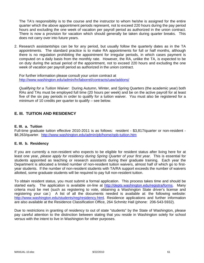The TA's responsibility is to the course and the instructor to whom he/she is assigned for the entire quarter which the above appointment periods represent, not to exceed 220 hours during the pay period hours and excluding the one week of vacation per payroll period as authorized in the union contract. There is now a provision for vacation which should generally be taken during quarter breaks. This does not carry over into future years.

2. Research assistantships can be for any period, but usually follow the quarterly dates as in the TA appointments. The standard practice is to make RA appointments for full or half months, although there is no regulation prohibiting the appointment for irregular periods, in which cases payment is computed on a daily basis from the monthly rate. However, the RA, unlike the TA, is expected to be on duty during the actual period of the appointment, not to exceed 220 hours and excluding the one week of vacation per payroll period as authorized in the union contract.

For further information please consult your union contract at http://www.washington.edu/admin/hr/laborrel/contracts/uaw/addons/

*Qualifying for a Tuition Waiver*: During Autumn, Winter, and Spring Quarters (the academic year) both RAs and TAs must be employed full time (20 hours per week) and be on the active payroll for at least five of the six pay periods in order to qualify for a tuition waiver. You must also be registered for a minimum of 10 credits per quarter to qualify – see below.

# **E. III. TUITION AND RESIDENCY**

#### **E. III. a. Tuition**

Full-time graduate tuition effective 2010-2011 is as follows: resident - \$3,817/quarter or non-resident - \$8,263/quarter. http://www.washington.edu/admin/pb/home/opb-tuition.htm

#### **E. III. b. Residency**

If you are currently a non-resident who expects to be eligible for resident status after living here for at least one year, *please apply for residency during Spring Quarter of your first year*. This is essential for students appointed as teaching or research assistants during their graduate training. Each year the Department is allocated a limited number of non-resident tuition waivers, almost half of which go to firstyear students. If the number of non-resident students with TA/RA support exceeds the number of waivers allotted, some graduate students will be required to pay full non-resident tuition.

To obtain resident status, you must submit a formal application. This process takes time and should be started early. The application is available on-line at http://depts.washington.edu/registra/forms. Many criteria must be met (such as registering to vote, obtaining a Washington State driver's license and registering your car.) A list of all the documents needed is available at: the following website: http://www.washington.edu/students/reg/residency.html. Residence applications and further information are also available at the Residence Classification Office, 264 Schmitz Hall (phone: 206-543-5932).

Due to restrictions in granting of residency to out of state "students" by the State of Washington, please pay careful attention to the distinction between stating that you reside in Washington solely for school versus with the intent to live in Washington for other purposes.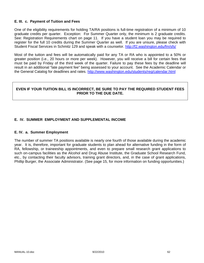### **E. III. c. Payment of Tuition and Fees**

One of the eligibility requirements for holding TA/RA positions is full-time registration of a minimum of 10 graduate credits per quarter. Exception: For Summer Quarter only, the minimum is 2 graduate credits. See: Registration Requirements chart on page 11. If you have a student loan you may be required to register for the full 10 credits during the Summer Quarter as well. If you are unsure, please check with Student Fiscal Services in Schmitz 129 and speak with a counselor. http://f2.washington.edu/fm/sfs/

Most of the tuition and fees will be automatically paid for any TA or RA who is appointed to a 50% or greater position (i.e., 20 hours or more per week). However, you will receive a bill for certain fees that must be paid by Friday of the third week of the quarter. Failure to pay these fees by the deadline will result in an additional "late payment fee" being assessed to your account. See the Academic Calendar or the General Catalog for deadlines and rates. http://www.washington.edu/students/reg/calendar.html

### **EVEN IF YOUR TUITION BILL IS INCORRECT, BE SURE TO PAY THE REQUIRED STUDENT FEES PRIOR TO THE DUE DATE.**

## **E. IV. SUMMER EMPLOYMENT AND SUPPLEMENTAL INCOME**

#### **E. IV. a. Summer Employment**

The number of summer TA positions available is nearly one fourth of those available during the academic year. It is, therefore, important for graduate students to plan ahead for alternative funding in the form of RA, fellowship, or traineeship appointments, and even to prepare small research grant applications to such on-campus facilities as the Alcohol and Drug Abuse Institute, the Graduate School Research Fund, etc., by contacting their faculty advisors, training grant directors, and, in the case of grant applications, Phillip Burger, the Associate Administrator. (See page 15, for more information on funding opportunities.)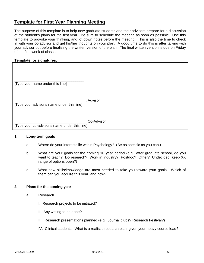# **Template for First Year Planning Meeting**

The purpose of this template is to help new graduate students and their advisors prepare for a discussion of the student's plans for the first year. Be sure to schedule the meeting as soon as possible. Use this template to provoke your thinking, and jot down notes before the meeting. This is also the time to check in with your co-advisor and get his/her thoughts on your plan. A good time to do this is after talking with your advisor but before finalizing the written version of the plan. The final written version is due on Friday of the first week of classes.

### **Template for signatures:**

| [Type your name under this line]              |            |
|-----------------------------------------------|------------|
| [Type your advisor's name under this line]    | Advisor    |
| [Type your co-advisor's name under this line] | Co-Advisor |

### **1. Long-term goals**

- a. Where do your interests lie within Psychology? (Be as specific as you can.)
- b. What are your goals for the coming 10 year period (e.g., after graduate school, do you want to teach? Do research? Work in industry? Postdoc? Other? Undecided, keep XX range of options open?)
- c. What new skills/knowledge are most needed to take you toward your goals. Which of them can you acquire this year, and how?

#### **2. Plans for the coming year**

- a. Research
	- I. Research projects to be initiated?
	- II. Any writing to be done?
	- III. Research presentations planned (e.g., Journal clubs? Research Festival?)
	- IV. Clinical students: What is a realistic research plan, given your heavy course load?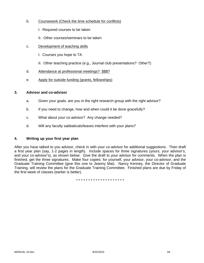- b. Coursework (Check the time schedule for conflicts)
	- I. Required courses to be taken
	- II. Other courses/seminars to be taken
- c. Development of teaching skills
	- I. Courses you hope to TA
	- II. Other teaching practice (e.g., Journal club presentations? Other?)
- d. Attendance at professional meetings? \$\$\$?
- e. Apply for outside funding (grants, fellowships)

#### **3. Advisor and co-advisor**

- a. Given your goals, are you in the right research group with the right advisor?
- b. If you need to change, how and when could it be done gracefully?
- c. What about your co-advisor? Any change needed?
- d. Will any faculty sabbaticals/leaves interfere with your plans?

### **4. Writing up your first year plan**

After you have talked to you advisor, check in with your co-advisor for additional suggestions. Then draft a first year plan (say, 1-2 pages in length). Include spaces for three signatures (yours, your advisor's, and your co-advisor's), as shown below. Give the draft to your advisor for comments. When the plan is finished, get the three signatures. Make four copies: for yourself, your advisor, your co-advisor, and the Graduate Training Committee (give this one to Jeanny Mai). Nancy Kenney, the Director of Graduate Training, will review the plans for the Graduate Training Committee. Finished plans are due by Friday of the first week of classes (earlier is better).

\* \* \* \* \* \* \* \* \* \* \* \* \* \* \* \* \* \* \* \*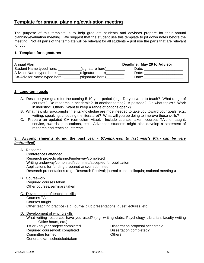# **Template for annual planning/evaluation meeting**

The purpose of this template is to help graduate students and advisors prepare for their annual planning/evaluation meeting. We suggest that the student use this template to jot down notes before the meeting. Not all parts of the template will be relevant for all students -- just use the parts that are relevant for you.

### **1. Template for signatures**

| Annual Plan                 |                  | Deadline: May 29 to Advisor |
|-----------------------------|------------------|-----------------------------|
| Student Name typed here:    | (signature here) | Date:                       |
| Advisor Name typed here:    | (signature here) | Date:                       |
| Co-Advisor Name typed here: | (signature here) | Date:                       |

### **2. Long-term goals**

- A. Describe your goals for the coming 5-10 year period (e.g., Do you want to teach? What range of courses? Do research in academia? In another setting? A postdoc? On what topics? Work in industry? Other? Want to keep a range of options open?)
- B. What new skills/accomplishments/knowledge are most needed to take you toward your goals (e.g., writing, speaking, critiquing the literature)? What will you be doing to improve these skills?
- C. Prepare an updated CV (curriculum vitae). Include courses taken, courses TA'd or taught, service, awards, publications, etc. Advanced students might also develop a statement of research and teaching interests.

### **3. Accomplishments during the past year - (***Comparison to last year's Plan can be very instructive!***)**

#### A. Research

 Conferences attended Research projects planned/underway/completed Writing underway/completed/submitted/accepted for publication Applications for funding prepared and/or submitted Research presentations (e.g., Research Festival; journal clubs; colloquia; national meetings)

B. Coursework

 Required courses taken Other courses/seminars taken

C. Development of teaching skills Courses TA'd Courses taught Other teaching practice (e.g. journal club presentations, guest lectures, etc.)

D. Development of writing skills

 What writing resources have you used? (e.g. writing clubs, Psychology Librarian, faculty writing Office hours, etc.)

 1st or 2nd year project completed Dissertation proposal accepted? Required coursework completed Dissertation completed? Committee formed Committee of the Committee of the Committee of the Committee of the Committee of the Committee General exam scheduled/taken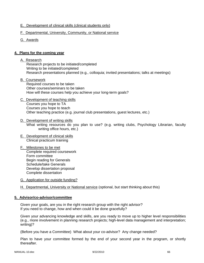- E. Development of clinical skills (clinical students only)
- F. Departmental, University, Community, or National service
- G. Awards

### **4. Plans for the coming year**

#### A. Research

 Research projects to be initiated/completed Writing to be initiated/completed Research presentations planned (e.g., colloquia; invited presentations; talks at meetings)

#### B. Coursework

 Required courses to be taken Other courses/seminars to be taken How will these courses help you achieve your long-term goals?

### C. Development of teaching skills

 Courses you hope to TA Courses you hope to teach Other teaching practice (e.g. journal club presentations, guest lectures, etc.)

#### D. Development of writing skills What writing resources do you plan to use? (e.g. writing clubs, Psychology Librarian, faculty writing office hours, etc.)

#### E. Development of clinical skills Clinical practicum training

- F. Milestones to be met Complete required coursework Form committee Begin reading for Generals Schedule/take Generals Develop dissertation proposal Complete dissertation
- G. Application for outside funding?
- H. Departmental, University or National service (optional, but start thinking about this)

#### **5. Advisor/co-advisor/committee**

Given your goals, are you in the right research group with the right advisor? If you need to change, how and when could it be done gracefully?

Given your advancing knowledge and skills, are you ready to move up to higher level responsibilities (e.g., more involvement in planning research projects; high-level data management and interpretation; writing)?

(Before you have a Committee) What about your co-advisor? Any change needed?

Plan to have your committee formed by the end of your second year in the program, or shortly thereafter.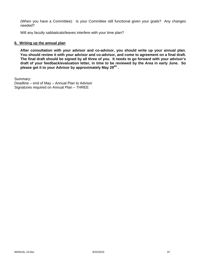(When you have a Committee): Is your Committee still functional given your goals? Any changes needed?

Will any faculty sabbaticals/leaves interfere with your time plan?

#### **6. Writing up the annual plan**

**After consultation with your advisor and co-advisor, you should write up your annual plan. You should review it with your advisor and co-advisor, and come to agreement on a final draft. The final draft should be signed by all three of you. It needs to go forward with your advisor's draft of your feedback/evaluation letter, in time to be reviewed by the Area in early June. So**  please get it to your Advisor by approximately May 29<sup>tht</sup>.

Summary: Deadline – end of May – Annual Plan to Advisor Signatures required on Annual Plan – THREE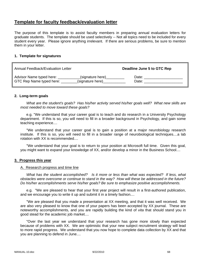# **Template for faculty feedback/evaluation letter**

The purpose of this template is to assist faculty members in preparing annual evaluation letters for graduate students. The template should be used selectively -- Not all topics need to be included for every student every year. Please ignore anything irrelevant. If there are serious problems, be sure to mention them in your letter.

### **1. Template for signatures**

| Annual Feedback/Evaluation Letter |                  | Deadline June 5 to GTC Rep |
|-----------------------------------|------------------|----------------------------|
| Advisor Name typed here:          | (signature here) | Date:                      |
| GTC Rep Name typed here:          | (signature here) | Date:                      |

### **2. Long-term goals**

 *What are the student's goals? Has his/her activity served his/her goals well? What new skills are most needed to move toward these goals?*

e.g. "We understand that your career goal is to teach and do research in a University Psychology department. If this is so, you will need to fill in a broader background in Psychology, and gain some teaching experience....

 "We understand that your career goal is to gain a position at a major neurobiology research institute. If this is so, you will need to fill in a broader range of neurobiological techniques....a lab rotation with XX is recommended....

 "We understand that your goal is to return to your position at Microsoft full time. Given this goal, you might want to expand your knowledge of XX, and/or develop a minor in the Business School....

#### **3. Progress this year**

#### A. Research progress and time line

 *What has the student accomplished? Is it more or less than what was expected? If less, what obstacles were overcome or continue to stand in the way? How will these be addressed in the future? Do his/her accomplishments serve his/her goals? Be sure to emphasize positive accomplishments.*

 e.g. "We are pleased to hear that your first year project will result in a first-authored publication, and we encourage you to write it up and submit it in a timely fashion....

 "We are pleased that you made a presentation at XX meeting, and that it was well received. We are also very pleased to know that one of your papers has been accepted by XX journal. These are noteworthy accomplishments, and you are rapidly building the kind of *vita* that should stand you in good stead for the academic job market....

 "Over the last year we understand that your research has gone more slowly than expected because of problems with XX. We are optimistic that your new subject recruitment strategy will lead to more rapid progress. We understand that you now hope to complete data collection by XX and that you are planning to defend in June....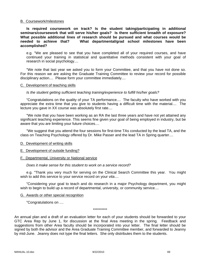#### B. Coursework/milestones

 **Is required coursework on track? Is the student taking/participating in additional seminars/coursework that will serve his/her goals? Is there sufficient breadth of exposure? What possible additional lines of research should be pursued and what courses would be needed to achieve that? What departmental/grad school milestones have been accomplished?**

 e.g. "We are pleased to see that you have completed all of your required courses, and have continued your training in statistical and quantitative methods consistent with your goal of research in social psychology....

 "We note that last year we asked you to form your Committee, and that you have not done so. For this reason we are asking the Graduate Training Committee to review your record for possible disciplinary action.... Please form your committee immediately....

#### C. Development of teaching skills

#### *Is the student getting sufficient teaching training/experience to fulfill his/her goals?*

 "Congratulations on the quality of your TA performance.... The faculty who have worked with you appreciate the extra time that you give to students having a difficult time with the material.... The lecture you gave in XX course was absolutely first rate....

 "We note that you have been working as an RA the last three years and have not yet attained any significant teaching experience. This seems fine given your goal of being employed in industry, but be aware that you are limiting your future choices....

 "We suggest that you attend the four sessions for first-time TAs conducted by the lead TA, and the class on Teaching Psychology offered by Dr. Mike Passer and the lead TA in Spring quarter....

#### D. Development of writing skills

E. Development of outside funding?

#### F. Departmental, University or National service

#### *Does it make sense for this student to work on a service record?*

 e.g. "Thank you very much for serving on the Clinical Search Committee this year. You might wish to add this service to your service record on your *vita*....

 "Considering your goal to teach and do research in a major Psychology department, you might wish to begin to build up a record of departmental, university, or community service....

#### G. Awards or other special recognition

"Congratulations on ....

\*\*\*\*\*\*\*\*\*\*

An annual plan and a draft of an evaluation letter for each of your students should be forwarded to your GTC Area Rep by June 1, for discussion at the final Area meeting in the spring. Feedback and suggestions from other Area faculty should be incorporated into your letter. The final letter should be signed by both the advisor and the Area Graduate Training Committee member, and forwarded to Jeanny by mid-June. Jeanny does not type the final letters. She only distributes them to the students.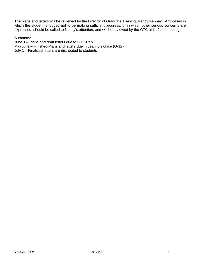The plans and letters will be reviewed by the Director of Graduate Training, Nancy Kenney. Any cases in which the student is judged not to be making sufficient progress, or in which other serious concerns are expressed, should be called to Nancy's attention, and will be reviewed by the GTC at its June meeting.

#### Summary:

June 1 – Plans and draft letters due to GTC Rep Mid-June – Finished Plans and letters due in Jeanny's office (G-127). July 1 – Finalized letters are distributed to students